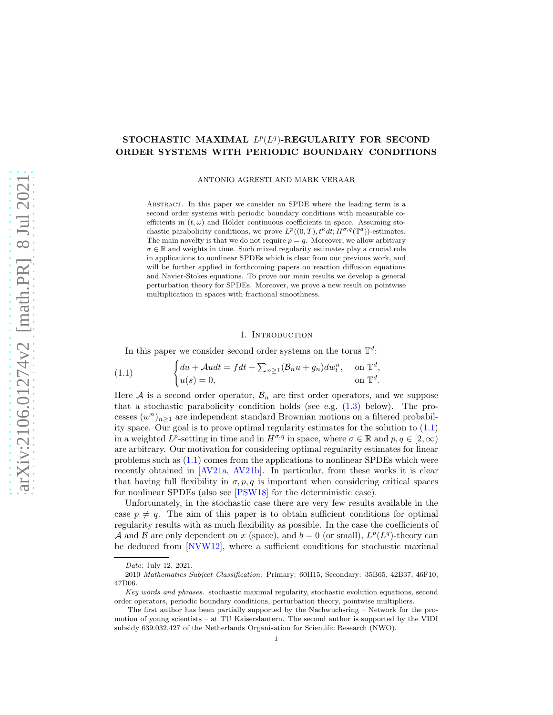# STOCHASTIC MAXIMAL  $L^p(L^q)$ -REGULARITY FOR SECOND ORDER SYSTEMS WITH PERIODIC BOUNDARY CONDITIONS

ANTONIO AGRESTI AND MARK VERAAR

Abstract. In this paper we consider an SPDE where the leading term is a second order systems with periodic boundary conditions with measurable coefficients in  $(t, \omega)$  and Hölder continuous coefficients in space. Assuming stochastic parabolicity conditions, we prove  $L^p((0,T), t^{\kappa} dt; H^{\sigma,q}(\mathbb{T}^d))$ -estimates. The main novelty is that we do not require  $p = q$ . Moreover, we allow arbitrary  $\sigma \in \mathbb{R}$  and weights in time. Such mixed regularity estimates play a crucial role in applications to nonlinear SPDEs which is clear from our previous work, and will be further applied in forthcoming papers on reaction diffusion equations and Navier-Stokes equations. To prove our main results we develop a general perturbation theory for SPDEs. Moreover, we prove a new result on pointwise multiplication in spaces with fractional smoothness.

#### 1. INTRODUCTION

<span id="page-0-0"></span>In this paper we consider second order systems on the torus  $\mathbb{T}^d$ :

(1.1) 
$$
\begin{cases} du + \mathcal{A}u dt = f dt + \sum_{n \ge 1} (\mathcal{B}_n u + g_n) dw_t^n, & \text{on } \mathbb{T}^d, \\ u(s) = 0, & \text{on } \mathbb{T}^d. \end{cases}
$$

Here A is a second order operator,  $\mathcal{B}_n$  are first order operators, and we suppose that a stochastic parabolicity condition holds (see e.g. [\(1.3\)](#page-1-0) below). The processes  $(w^n)_{n\geq 1}$  are independent standard Brownian motions on a filtered probability space. Our goal is to prove optimal regularity estimates for the solution to [\(1.1\)](#page-0-0) in a weighted  $L^p$ -setting in time and in  $H^{\sigma,q}$  in space, where  $\sigma \in \mathbb{R}$  and  $p, q \in [2, \infty)$ are arbitrary. Our motivation for considering optimal regularity estimates for linear problems such as [\(1.1\)](#page-0-0) comes from the applications to nonlinear SPDEs which were recently obtained in [\[AV21a,](#page-18-0) [AV21b\]](#page-18-1). In particular, from these works it is clear that having full flexibility in  $\sigma, p, q$  is important when considering critical spaces for nonlinear SPDEs (also see [\[PSW18\]](#page-19-0) for the deterministic case).

Unfortunately, in the stochastic case there are very few results available in the case  $p \neq q$ . The aim of this paper is to obtain sufficient conditions for optimal regularity results with as much flexibility as possible. In the case the coefficients of A and B are only dependent on x (space), and  $b = 0$  (or small),  $L^p(L^q)$ -theory can be deduced from [\[NVW12\]](#page-19-1), where a sufficient conditions for stochastic maximal

Date: July 12, 2021.

<sup>2010</sup> Mathematics Subject Classification. Primary: 60H15, Secondary: 35B65, 42B37, 46F10, 47D06.

Key words and phrases. stochastic maximal regularity, stochastic evolution equations, second order operators, periodic boundary conditions, perturbation theory, pointwise multipliers.

The first author has been partially supported by the Nachwuchsring – Network for the promotion of young scientists – at TU Kaiserslautern. The second author is supported by the VIDI subsidy 639.032.427 of the Netherlands Organisation for Scientific Research (NWO).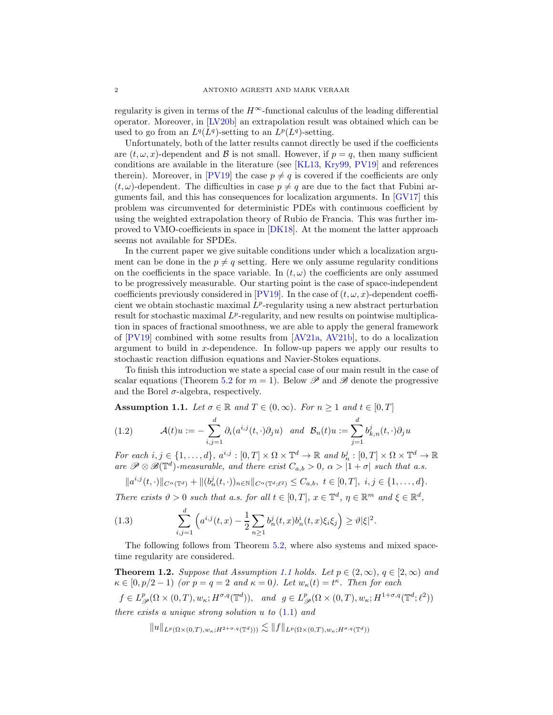regularity is given in terms of the  $H^{\infty}$ -functional calculus of the leading differential operator. Moreover, in [\[LV20b\]](#page-19-2) an extrapolation result was obtained which can be used to go from an  $L^q(L^q)$ -setting to an  $L^p(L^q)$ -setting.

Unfortunately, both of the latter results cannot directly be used if the coefficients are  $(t, \omega, x)$ -dependent and  $\beta$  is not small. However, if  $p = q$ , then many sufficient conditions are available in the literature (see [\[KL13,](#page-19-3) [Kry99,](#page-19-4) [PV19\]](#page-19-5) and references therein). Moreover, in [\[PV19\]](#page-19-5) the case  $p \neq q$  is covered if the coefficients are only  $(t, \omega)$ -dependent. The difficulties in case  $p \neq q$  are due to the fact that Fubini arguments fail, and this has consequences for localization arguments. In [\[GV17\]](#page-19-6) this problem was circumvented for deterministic PDEs with continuous coefficient by using the weighted extrapolation theory of Rubio de Francia. This was further improved to VMO-coefficients in space in [\[DK18\]](#page-18-2). At the moment the latter approach seems not available for SPDEs.

In the current paper we give suitable conditions under which a localization argument can be done in the  $p \neq q$  setting. Here we only assume regularity conditions on the coefficients in the space variable. In  $(t, \omega)$  the coefficients are only assumed to be progressively measurable. Our starting point is the case of space-independent coefficients previously considered in [\[PV19\]](#page-19-5). In the case of  $(t, \omega, x)$ -dependent coefficient we obtain stochastic maximal  $L^p$ -regularity using a new abstract perturbation result for stochastic maximal  $L^p$ -regularity, and new results on pointwise multiplication in spaces of fractional smoothness, we are able to apply the general framework of [\[PV19\]](#page-19-5) combined with some results from [\[AV21a,](#page-18-0) [AV21b\]](#page-18-1), to do a localization argument to build in  $x$ -dependence. In follow-up papers we apply our results to stochastic reaction diffusion equations and Navier-Stokes equations.

To finish this introduction we state a special case of our main result in the case of scalar equations (Theorem [5.2](#page-12-0) for  $m = 1$ ). Below  $\mathscr P$  and  $\mathscr B$  denote the progressive and the Borel  $\sigma$ -algebra, respectively.

<span id="page-1-1"></span>Assumption 1.1. *Let*  $\sigma \in \mathbb{R}$  *and*  $T \in (0, \infty)$ *. For*  $n \geq 1$  *and*  $t \in [0, T]$ 

(1.2) 
$$
\mathcal{A}(t)u := -\sum_{i,j=1}^d \partial_i(a^{i,j}(t,\cdot)\partial_j u) \text{ and } \mathcal{B}_n(t)u := \sum_{j=1}^d b^j_{k,n}(t,\cdot)\partial_j u
$$

*For each*  $i, j \in \{1, ..., d\}$ ,  $a^{i,j} : [0, T] \times \Omega \times \mathbb{T}^d \to \mathbb{R}$  and  $b_n^j : [0, T] \times \Omega \times \mathbb{T}^d \to \mathbb{R}$ *are*  $\mathscr{P} \otimes \mathscr{B}(\mathbb{T}^d)$ -measurable, and there exist  $C_{a,b} > 0$ ,  $\alpha > |1 + \sigma|$  such that a.s.

$$
||a^{i,j}(t,\cdot)||_{C^{\alpha}(\mathbb{T}^d)}+||(b_n^j(t,\cdot))_{n\in\mathbb{N}}||_{C^{\alpha}(\mathbb{T}^d;\ell^2)} \leq C_{a,b}, \ t\in[0,T], \ i,j\in\{1,\ldots,d\}.
$$

*There exists*  $\vartheta > 0$  *such that a.s. for all*  $t \in [0, T]$ ,  $x \in \mathbb{T}^d$ ,  $\eta \in \mathbb{R}^m$  and  $\xi \in \mathbb{R}^d$ ,

<span id="page-1-0"></span>(1.3) 
$$
\sum_{i,j=1}^d \left( a^{i,j}(t,x) - \frac{1}{2} \sum_{n \ge 1} b_n^j(t,x) b_n^i(t,x) \xi_i \xi_j \right) \ge \vartheta |\xi|^2.
$$

The following follows from Theorem [5.2,](#page-12-0) where also systems and mixed spacetime regularity are considered.

<span id="page-1-2"></span>**Theorem 1.2.** Suppose that Assumption [1.1](#page-1-1) holds. Let  $p \in (2,\infty)$ ,  $q \in [2,\infty)$  and  $\kappa \in [0, p/2-1)$  *(or*  $p = q = 2$  *and*  $\kappa = 0$ *). Let*  $w_{\kappa}(t) = t^{\kappa}$ *. Then for each* 

 $f \in L^p_{\mathscr{P}}(\Omega \times (0,T), w_{\kappa}; H^{\sigma,q}(\mathbb{T}^d)), \text{ and } g \in L^p_{\mathscr{P}}(\Omega \times (0,T), w_{\kappa}; H^{1+\sigma,q}(\mathbb{T}^d;\ell^2))$ *there exists a unique strong solution* u *to* [\(1.1\)](#page-0-0) *and*

$$
||u||_{L^p(\Omega\times(0,T),w_\kappa;H^{2+\sigma,q}(\mathbb{T}^d)))}\lesssim ||f||_{L^p(\Omega\times(0,T),w_\kappa;H^{\sigma,q}(\mathbb{T}^d))}
$$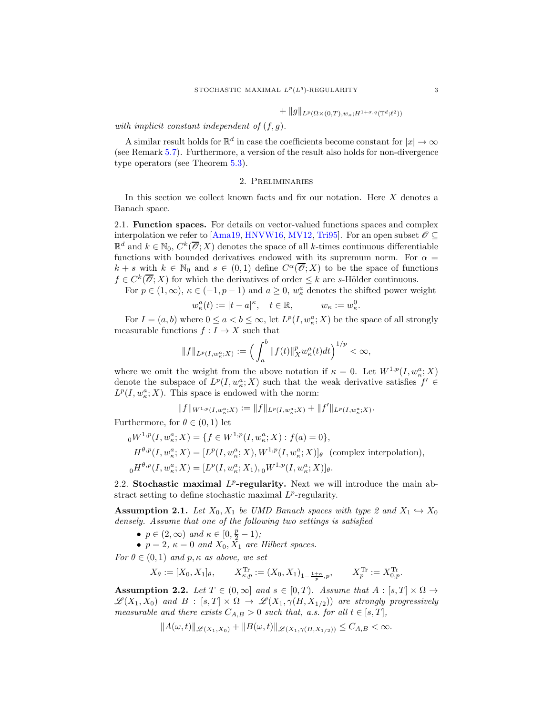$$
+ \|g\|_{L^p(\Omega \times (0,T),w_\kappa;H^{1+\sigma,q}(\mathbb{T}^d;\ell^2))}
$$

# *with implicit constant independent of* (f, g)*.*

A similar result holds for  $\mathbb{R}^d$  in case the coefficients become constant for  $|x| \to \infty$ (see Remark [5.7\)](#page-14-0). Furthermore, a version of the result also holds for non-divergence type operators (see Theorem [5.3\)](#page-13-0).

# 2. Preliminaries

In this section we collect known facts and fix our notation. Here  $X$  denotes a Banach space.

2.1. Function spaces. For details on vector-valued functions spaces and complex interpolation we refer to [\[Ama19,](#page-18-3) [HNVW16,](#page-19-7) [MV12,](#page-19-8) [Tri95\]](#page-19-9). For an open subset  $\mathscr{O} \subseteq$  $\mathbb{R}^d$  and  $k \in \mathbb{N}_0$ ,  $C^k(\overline{\mathscr{O}};X)$  denotes the space of all k-times continuous differentiable functions with bounded derivatives endowed with its supremum norm. For  $\alpha =$  $k+s$  with  $k \in \mathbb{N}_0$  and  $s \in (0,1)$  define  $C^{\alpha}(\overline{\mathscr{O}};X)$  to be the space of functions  $f \in C^k(\overline{\mathscr{O}};X)$  for which the derivatives of order  $\leq k$  are s-Hölder continuous.

For  $p \in (1,\infty)$ ,  $\kappa \in (-1, p-1)$  and  $a \geq 0$ ,  $w_{\kappa}^a$  denotes the shifted power weight

$$
w_{\kappa}^a(t) := |t - a|^{\kappa}, \quad t \in \mathbb{R}, \qquad w_{\kappa} := w_{\kappa}^0.
$$

For  $I = (a, b)$  where  $0 \le a < b \le \infty$ , let  $L^p(I, w_\kappa^a; X)$  be the space of all strongly measurable functions  $f: I \to X$  such that

$$
||f||_{L^p(I,w_{\kappa}^a;X)} := \left(\int_a^b ||f(t)||_X^p w_{\kappa}^a(t)dt\right)^{1/p} < \infty,
$$

where we omit the weight from the above notation if  $\kappa = 0$ . Let  $W^{1,p}(I, w_{\kappa}^a; X)$ denote the subspace of  $L^p(I, w^a_{\kappa}; X)$  such that the weak derivative satisfies  $f' \in$  $L^p(I, w_\kappa^a; X)$ . This space is endowed with the norm:

$$
||f||_{W^{1,p}(I,w_{\kappa}^a;X)}:=||f||_{L^p(I,w_{\kappa}^a;X)}+||f'||_{L^p(I,w_{\kappa}^a;X)}.
$$

Furthermore, for  $\theta \in (0,1)$  let

$$
{}_{0}W^{1,p}(I, w_{\kappa}^{a}; X) = \{f \in W^{1,p}(I, w_{\kappa}^{a}; X) : f(a) = 0\},
$$
  
\n
$$
H^{\theta, p}(I, w_{\kappa}^{a}; X) = [L^{p}(I, w_{\kappa}^{a}; X), W^{1,p}(I, w_{\kappa}^{a}; X)]_{\theta}
$$
 (complex interpolation),  
\n
$$
{}_{0}H^{\theta, p}(I, w_{\kappa}^{a}; X) = [L^{p}(I, w_{\kappa}^{a}; X_{1}), {}_{0}W^{1,p}(I, w_{\kappa}^{a}; X)]_{\theta}.
$$

2.2. Stochastic maximal  $L^p$ -regularity. Next we will introduce the main abstract setting to define stochastic maximal  $L^p$ -regularity.

<span id="page-2-0"></span>**Assumption 2.1.** *Let*  $X_0, X_1$  *be UMD Banach spaces with type 2 and*  $X_1 \hookrightarrow X_0$ *densely. Assume that one of the following two settings is satisfied*

- $p \in (2, \infty)$  and  $\kappa \in [0, \frac{p}{2} 1)$ ;
- $p = 2$ ,  $\kappa = 0$  and  $X_0, \overline{X_1}$  are Hilbert spaces.

*For*  $\theta \in (0, 1)$  *and*  $p, \kappa$  *as above, we set* 

$$
X_{\theta} := [X_0, X_1]_{\theta}, \qquad X_{\kappa, p}^{\text{Tr}} := (X_0, X_1)_{1 - \frac{1+\kappa}{p}, p}, \qquad X_p^{\text{Tr}} := X_{0, p}^{\text{Tr}}.
$$

<span id="page-2-1"></span>Assumption 2.2. Let  $T \in (0, \infty]$  and  $s \in [0, T)$ . Assume that  $A : [s, T] \times \Omega \rightarrow$  $\mathscr{L}(X_1, X_0)$  and  $B : [s, T] \times \Omega \rightarrow \mathscr{L}(X_1, \gamma(H, X_{1/2}))$  are strongly progressively *measurable and there exists*  $C_{A,B} > 0$  *such that, a.s. for all*  $t \in [s, T]$ *,* 

$$
||A(\omega, t)||_{\mathscr{L}(X_1, X_0)} + ||B(\omega, t)||_{\mathscr{L}(X_1, \gamma(H, X_{1/2}))} \leq C_{A, B} < \infty.
$$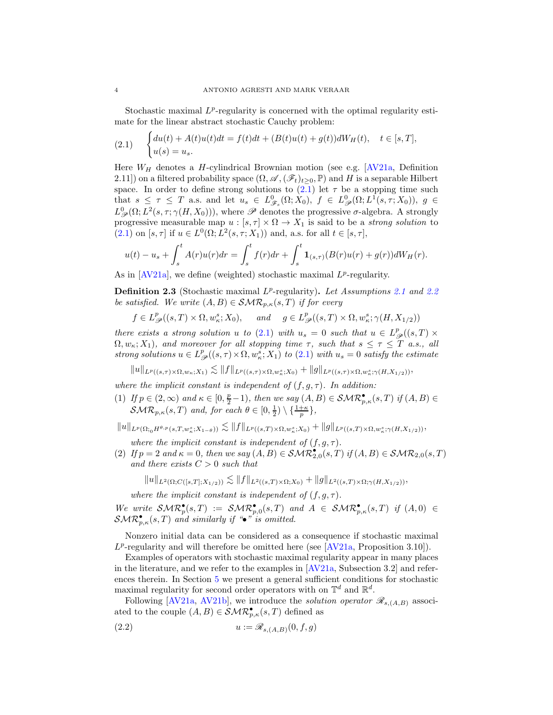Stochastic maximal  $L^p$ -regularity is concerned with the optimal regularity estimate for the linear abstract stochastic Cauchy problem:

<span id="page-3-0"></span>(2.1) 
$$
\begin{cases} du(t) + A(t)u(t)dt = f(t)dt + (B(t)u(t) + g(t))dW_H(t), \quad t \in [s, T], \\ u(s) = u_s. \end{cases}
$$

Here  $W_H$  denotes a H-cylindrical Brownian motion (see e.g. [\[AV21a,](#page-18-0) Definition 2.11]) on a filtered probability space  $(\Omega, \mathscr{A}, (\mathscr{F}_t)_{t>0}, \mathbb{P})$  and H is a separable Hilbert space. In order to define strong solutions to  $(2.1)$  let  $\tau$  be a stopping time such that  $s \leq \tau \leq T$  a.s. and let  $u_s \in L^0_{\mathscr{F}_s}(\Omega; X_0)$ ,  $f \in L^0_{\mathscr{P}}(\Omega; L^1(s,\tau; X_0))$ ,  $g \in$  $L^0_{\mathscr{P}}(\Omega; L^2(s,\tau;\gamma(H,X_0))),$  where  $\mathscr P$  denotes the progressive  $\sigma$ -algebra. A strongly progressive measurable map  $u : [s, \tau] \times \Omega \to X_1$  is said to be a *strong solution* to  $(2.1)$  on  $[s, \tau]$  if  $u \in L^0(\Omega; L^2(s, \tau; X_1))$  and, a.s. for all  $t \in [s, \tau]$ ,

$$
u(t) - u_s + \int_s^t A(r)u(r)dr = \int_s^t f(r)dr + \int_s^t \mathbf{1}_{(s,\tau)}(B(r)u(r) + g(r))dW_H(r).
$$

As in  $[AV21a]$ , we define (weighted) stochastic maximal  $L^p$ -regularity.

<span id="page-3-1"></span>Definition 2.3 (Stochastic maximal L<sup>p</sup>-regularity). Let Assumptions [2.1](#page-2-0) and [2.2](#page-2-1) *be satisfied.* We write  $(A, B) \in \mathcal{SMR}_{p,\kappa}(s,T)$  *if for every* 

$$
f \in L^p_{\mathscr{P}}((s,T) \times \Omega, w^s_{\kappa}; X_0), \quad \text{and} \quad g \in L^p_{\mathscr{P}}((s,T) \times \Omega, w^s_{\kappa}; \gamma(H, X_{1/2}))
$$

*there exists a strong solution* u *to* [\(2.1\)](#page-3-0) *with*  $u_s = 0$  *such that*  $u \in L^p_{\mathscr{P}}((s,T) \times$  $\Omega, w_{\kappa}; X_1$ *), and moreover for all stopping time*  $\tau$ *, such that*  $s \leq \tau \leq T$  *a.s., all* strong solutions  $u \in L^p_{\mathscr{P}}((s,\tau) \times \Omega, w^s_{\kappa}; X_1)$  *to* [\(2.1\)](#page-3-0) *with*  $u_s = 0$  *satisfy the estimate* 

 $||u||_{L^p((s,\tau)\times\Omega,w_\kappa;X_1)} \lesssim ||f||_{L^p((s,\tau)\times\Omega,w_{\kappa}^s;X_0)} + ||g||_{L^p((s,\tau)\times\Omega,w_{\kappa}^s;\gamma(H,X_{1/2}))},$ 

*where the implicit constant is independent of*  $(f, g, \tau)$ *. In addition:* 

- (1) If  $p \in (2,\infty)$  and  $\kappa \in [0,\frac{p}{2}-1)$ , then we say  $(A, B) \in \mathcal{SMR}_{p,\kappa}^{\bullet}(s,T)$  if  $(A, B) \in$  $\mathcal{SMR}_{p,\kappa}(s,T)$  and, for each  $\theta \in [0,\frac{1}{2}) \setminus {\frac{1+\kappa}{p}},$
- $||u||_{L^p(\Omega_{t_0} H^{\theta,p}(s,T,w_s^s;X_{1-\theta}))} \lesssim ||f||_{L^p((s,T)\times \Omega,w_s^s;X_0)} + ||g||_{L^p((s,T)\times \Omega,w_s^s;\gamma(H,X_{1/2}))},$

*where the implicit constant is independent of*  $(f, g, \tau)$ *.* 

(2) If  $p = 2$  and  $\kappa = 0$ , then we say  $(A, B) \in \mathcal{SMR}_{2,0}^{\bullet}(s, T)$  if  $(A, B) \in \mathcal{SMR}_{2,0}(s, T)$ *and there exists* C > 0 *such that*

$$
||u||_{L^{2}(\Omega;C([s,T];X_{1/2}))} \lesssim ||f||_{L^{2}((s,T)\times\Omega;X_{0})} + ||g||_{L^{2}((s,T)\times\Omega;\gamma(H,X_{1/2}))},
$$

*where the implicit constant is independent of*  $(f, g, \tau)$ *.* 

We write  $\mathcal{SMR}_p^{\bullet}(s,T) := \mathcal{SMR}_{p,0}^{\bullet}(s,T)$  and  $A \in \mathcal{SMR}_{p,\kappa}^{\bullet}(s,T)$  if  $(A,0) \in$  $\mathcal{SMR}_{p,\kappa}^{\bullet}(s,T)$  and similarly if "•" is omitted.

Nonzero initial data can be considered as a consequence if stochastic maximal  $L^p$ -regularity and will therefore be omitted here (see [\[AV21a,](#page-18-0) Proposition 3.10]).

Examples of operators with stochastic maximal regularity appear in many places in the literature, and we refer to the examples in [\[AV21a,](#page-18-0) Subsection 3.2] and references therein. In Section [5](#page-10-0) we present a general sufficient conditions for stochastic maximal regularity for second order operators with on  $\mathbb{T}^d$  and  $\mathbb{R}^d$ .

Following [\[AV21a,](#page-18-0) [AV21b\]](#page-18-1), we introduce the *solution operator*  $\mathcal{R}_{s,(A,B)}$  associated to the couple  $(A, B) \in \mathcal{SMR}_{p,\kappa}^{\bullet}(s,T)$  defined as

<span id="page-3-2"></span>
$$
(2.2) \t\t u := \mathscr{R}_{s,(A,B)}(0,f,g)
$$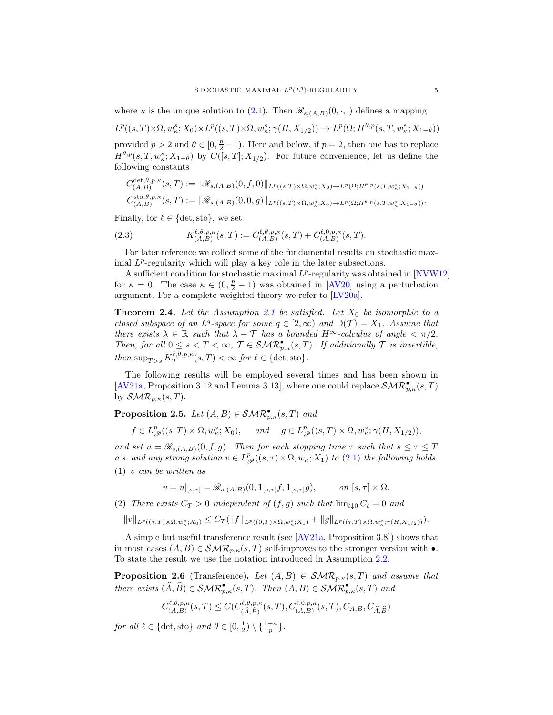where u is the unique solution to [\(2.1\)](#page-3-0). Then  $\mathscr{R}_{s,(A,B)}(0,\cdot,\cdot)$  defines a mapping

 $L^p((s,T)\times\Omega,w^s_{\kappa};X_0)\times L^p((s,T)\times\Omega,w^s_{\kappa};\gamma(H,X_{1/2}))\to L^p(\Omega;H^{\theta,p}(s,T,w^s_{\kappa};X_{1-\theta}))$ 

provided  $p > 2$  and  $\theta \in [0, \frac{p}{2} - 1)$ . Here and below, if  $p = 2$ , then one has to replace  $H^{\theta,p}(s,T,w^s_{\kappa};X_{1-\theta})$  by  $C([s,T];X_{1/2})$ . For future convenience, let us define the following constants

$$
C_{(A,B)}^{\det,\theta,p,\kappa}(s,T) := \|\mathscr{R}_{s,(A,B)}(0,f,0)\|_{L^p((s,T)\times\Omega,w_\kappa^s;X_0)\to L^p(\Omega;H^{\theta,p}(s,T,w_\kappa^s;X_{1-\theta}))}
$$
  

$$
C_{(A,B)}^{\text{sto},\theta,p,\kappa}(s,T) := \|\mathscr{R}_{s,(A,B)}(0,0,g)\|_{L^p((s,T)\times\Omega,w_\kappa^s;X_0)\to L^p(\Omega;H^{\theta,p}(s,T,w_\kappa^s;X_{1-\theta}))}.
$$

Finally, for  $\ell \in \{\text{det}, \text{sto}\},\$  we set

<span id="page-4-2"></span>(2.3) 
$$
K_{(A,B)}^{\ell,\theta,p,\kappa}(s,T) := C_{(A,B)}^{\ell,\theta,p,\kappa}(s,T) + C_{(A,B)}^{\ell,0,p,\kappa}(s,T).
$$

For later reference we collect some of the fundamental results on stochastic maximal  $L^p$ -regularity which will play a key role in the later subsections.

A sufficient condition for stochastic maximal  $L^p$ -regularity was obtained in [\[NVW12\]](#page-19-1) for  $\kappa = 0$ . The case  $\kappa \in (0, \frac{p}{2} - 1)$  was obtained in [\[AV20\]](#page-18-4) using a perturbation argument. For a complete weighted theory we refer to [\[LV20a\]](#page-19-10).

<span id="page-4-3"></span>**Theorem 2.4.** Let the Assumption [2.1](#page-2-0) be satisfied. Let  $X_0$  be isomorphic to a *closed subspace of an L<sup>q</sup>-space for some*  $q \in [2, \infty)$  *and*  $D(\mathcal{T}) = X_1$ *. Assume that there exists*  $\lambda \in \mathbb{R}$  *such that*  $\lambda + \mathcal{T}$  *has a bounded*  $H^{\infty}$ *-calculus of angle*  $\langle \pi/2 \rangle$ *. Then, for all*  $0 \leq s < T < \infty$ ,  $\mathcal{T} \in \mathcal{SMR}_{p,\kappa}^{\bullet}(s,T)$ *. If additionally*  $\mathcal{T}$  *is invertible, then*  $\sup_{T>s} K^{\ell,\theta,p,\kappa}_\mathcal{T}(s,T) < \infty$  *for*  $\ell \in \{\text{det}, \text{sto}\}.$ 

The following results will be employed several times and has been shown in [\[AV21a,](#page-18-0) Proposition 3.12 and Lemma 3.13], where one could replace  $\mathcal{SMR}_{p,\kappa}^{\bullet}(s,T)$ by  $\mathcal{SMR}_{p,\kappa}(s,T)$ .

<span id="page-4-1"></span>**Proposition 2.5.** *Let*  $(A, B) \in \mathcal{SMR}_{p,\kappa}^{\bullet}(s, T)$  *and* 

$$
f \in L^p_{\mathscr{P}}((s,T) \times \Omega, w^s_{\kappa}; X_0), \quad \text{and} \quad g \in L^p_{\mathscr{P}}((s,T) \times \Omega, w^s_{\kappa}; \gamma(H, X_{1/2})),
$$

<span id="page-4-4"></span>*and set*  $u = \mathcal{R}_{s,(A,B)}(0, f, g)$ *. Then for each stopping time*  $\tau$  *such that*  $s \leq \tau \leq T$ a.s. and any strong solution  $v \in L^p_{\mathscr{P}}((s,\tau) \times \Omega, w_\kappa; X_1)$  to [\(2.1\)](#page-3-0) the following holds. (1) v *can be written as*

$$
v = u|_{[s,\tau]} = \mathscr{R}_{s,(A,B)}(0, \mathbf{1}_{[s,\tau]}f, \mathbf{1}_{[s,\tau]}g), \qquad on [s,\tau] \times \Omega.
$$

(2) *There exists*  $C_T > 0$  *independent of*  $(f, q)$  *such that*  $\lim_{t \to 0} C_t = 0$  *and* 

 $||v||_{L^p((\tau,T)\times\Omega, w^s_{\kappa};X_0)} \leq C_T(||f||_{L^p((0,T)\times\Omega, w^s_{\kappa};X_0)} + ||g||_{L^p((\tau,T)\times\Omega, w^s_{\kappa};\gamma(H,X_{1/2})))$ .

A simple but useful transference result (see [\[AV21a,](#page-18-0) Proposition 3.8]) shows that in most cases  $(A, B) \in \mathcal{SMR}_{p,\kappa}(s,T)$  self-improves to the stronger version with  $\bullet$ . To state the result we use the notation introduced in Assumption [2.2.](#page-2-1)

<span id="page-4-0"></span>**Proposition 2.6** (Transference). Let  $(A, B) \in \mathcal{SMR}_{p,\kappa}(s,T)$  and assume that *there exists*  $(\widehat{A}, \widehat{B}) \in \mathcal{SMR}_{p,\kappa}^{\bullet}(s,T)$ *. Then*  $(A, B) \in \mathcal{SMR}_{p,\kappa}^{\bullet}(s,T)$  *and* 

$$
C_{(A,B)}^{\ell,\theta,p,\kappa}(s,T)\leq C(C_{(\widehat{A},\widehat{B})}^{\ell,\theta,p,\kappa}(s,T),C_{(A,B)}^{\ell,0,p,\kappa}(s,T),C_{A,B},C_{\widehat{A},\widehat{B}})
$$

*for all*  $\ell \in \{\text{det}, \text{sto}\}\$  *and*  $\theta \in [0, \frac{1}{2}) \setminus \{\frac{1+\kappa}{p}\}.$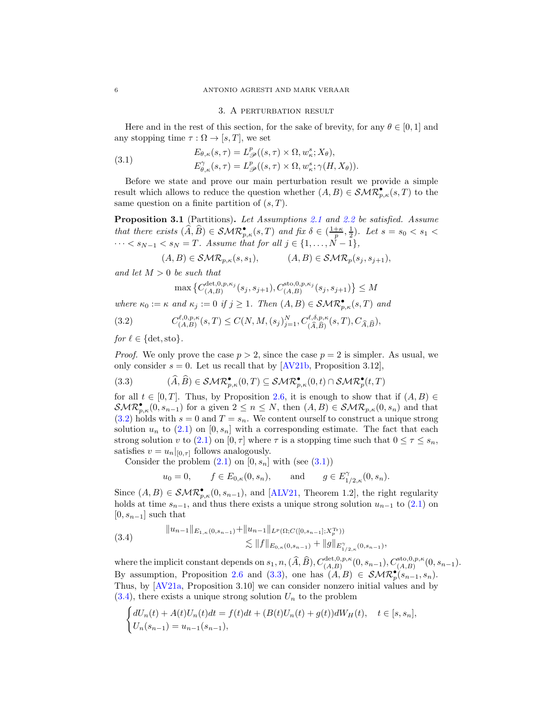#### <span id="page-5-1"></span>3. A perturbation result

Here and in the rest of this section, for the sake of brevity, for any  $\theta \in [0,1]$  and any stopping time  $\tau : \Omega \to [s, T]$ , we set

(3.1) 
$$
E_{\theta,\kappa}(s,\tau) = L_{\mathscr{P}}^p((s,\tau) \times \Omega, w_{\kappa}^s; X_{\theta}),
$$

$$
E_{\theta,\kappa}^{\gamma}(s,\tau) = L_{\mathscr{P}}^p((s,\tau) \times \Omega, w_{\kappa}^s; \gamma(H, X_{\theta})).
$$

Before we state and prove our main perturbation result we provide a simple result which allows to reduce the question whether  $(A, B) \in \mathcal{SMR}_{p,\kappa}^{\bullet}(s,T)$  to the same question on a finite partition of  $(s, T)$ .

<span id="page-5-4"></span>Proposition 3.1 (Partitions). *Let Assumptions [2.1](#page-2-0) and [2.2](#page-2-1) be satisfied. Assume that there exists*  $(\widehat{A}, \widehat{B}) \in \mathcal{SMR}_{p,\kappa}^{\bullet}(s,T)$  *and fix*  $\delta \in (\frac{1+\kappa}{p}, \frac{1}{2})$ *. Let*  $s = s_0 < s_1 <$  $\cdots < s_{N-1} < s_N = T$ *. Assume that for all*  $j \in \{1, \ldots, N-1\}$ *,* 

$$
(A, B) \in \mathcal{SMR}_{p,\kappa}(s, s_1), \qquad (A, B) \in \mathcal{SMR}_p(s_j, s_{j+1}),
$$

*and let* M > 0 *be such that*

<span id="page-5-0"></span>
$$
\max\big\{ C_{(A,B)}^{{\rm det},0,p,\kappa_j}(s_j,s_{j+1}), C_{(A,B)}^{{\rm sto},0,p,\kappa_j}(s_j,s_{j+1}) \big\} \le M
$$

*where*  $\kappa_0 := \kappa$  *and*  $\kappa_j := 0$  *if*  $j \geq 1$ *. Then*  $(A, B) \in \mathcal{SMR}_{p,\kappa}^{\bullet}(s,T)$  *and* 

(3.2) 
$$
C_{(A,B)}^{\ell,0,p,\kappa}(s,T) \leq C(N,M,(s_j)_{j=1}^N, C_{(\widehat{A},\widehat{B})}^{\ell,\delta,p,\kappa}(s,T), C_{\widehat{A},\widehat{B}}),
$$

*for*  $\ell \in \{\text{det}, \text{sto}\}.$ 

*Proof.* We only prove the case  $p > 2$ , since the case  $p = 2$  is simpler. As usual, we only consider  $s = 0$ . Let us recall that by [\[AV21b,](#page-18-1) Proposition 3.12],

<span id="page-5-2"></span>
$$
(3.3) \qquad (\widehat{A}, \widehat{B}) \in \mathcal{SMR}_{p,\kappa}^{\bullet}(0,T) \subseteq \mathcal{SMR}_{p,\kappa}^{\bullet}(0,t) \cap \mathcal{SMR}_p^{\bullet}(t,T)
$$

for all  $t \in [0, T]$ . Thus, by Proposition [2.6,](#page-4-0) it is enough to show that if  $(A, B) \in$  $\mathcal{SMR}_{p,\kappa}^{\bullet}(0,s_{n-1})$  for a given  $2 \leq n \leq N$ , then  $(A,B) \in \mathcal{SMR}_{p,\kappa}(0,s_n)$  and that  $(3.2)$  holds with  $s = 0$  and  $T = s_n$ . We content ourself to construct a unique strong solution  $u_n$  to  $(2.1)$  on  $[0, s_n]$  with a corresponding estimate. The fact that each strong solution v to [\(2.1\)](#page-3-0) on [0,  $\tau$ ] where  $\tau$  is a stopping time such that  $0 \leq \tau \leq s_n$ , satisfies  $v = u_n|_{[0,\tau]}$  follows analogously.

Consider the problem  $(2.1)$  on  $[0, s_n]$  with (see  $(3.1)$ )

$$
u_0 = 0,
$$
  $f \in E_{0,\kappa}(0, s_n),$  and  $g \in E_{1/2,\kappa}^{\gamma}(0, s_n).$ 

Since  $(A, B) \in \mathcal{SMR}_{p,\kappa}^{\bullet}(0, s_{n-1}),$  and [\[ALV21,](#page-18-5) Theorem 1.2], the right regularity holds at time  $s_{n-1}$ , and thus there exists a unique strong solution  $u_{n-1}$  to [\(2.1\)](#page-3-0) on  $[0, s_{n-1}]$  such that

<span id="page-5-3"></span>
$$
(3.4) \qquad \|u_{n-1}\|_{E_{1,\kappa}(0,s_{n-1})} + \|u_{n-1}\|_{L^p(\Omega;C([0,s_{n-1}];X_p^{T_r}))}
$$
  

$$
\lesssim \|f\|_{E_{0,\kappa}(0,s_{n-1})} + \|g\|_{E_{1/2,\kappa}^{\gamma}(0,s_{n-1})}
$$

where the implicit constant depends on  $s_1, n, (\hat{A}, \hat{B}), C_{(A,B)}^{\text{det},0,p,\kappa}(0, s_{n-1}), C_{(A,B)}^{\text{sto},0,p,\kappa}(0, s_{n-1}).$ By assumption, Proposition [2.6](#page-4-0) and [\(3.3\)](#page-5-2), one has  $(A, B) \in \mathcal{SMR}_p^{\bullet}(s_{n-1}, s_n)$ . Thus, by [\[AV21a,](#page-18-0) Proposition 3.10] we can consider nonzero initial values and by  $(3.4)$ , there exists a unique strong solution  $U_n$  to the problem

,

$$
\begin{cases} dU_n(t)+A(t)U_n(t)dt=f(t)dt+(B(t)U_n(t)+g(t))dW_H(t),\quad t\in[s,s_n],\\ U_n(s_{n-1})=u_{n-1}(s_{n-1}), \end{cases}
$$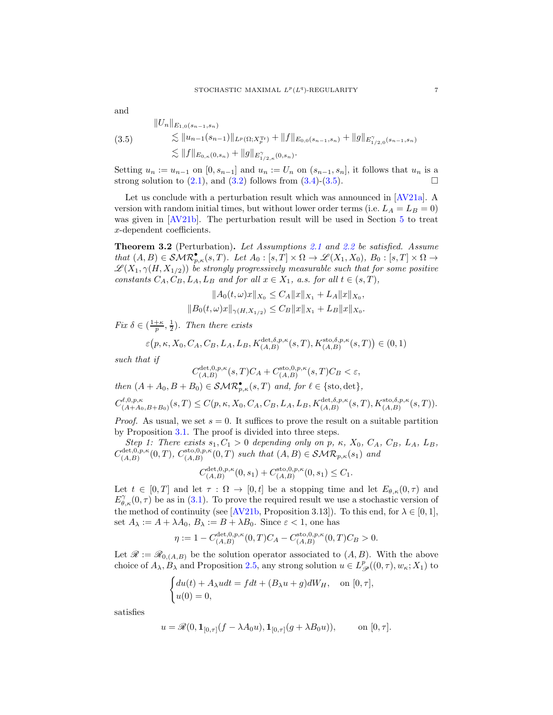<span id="page-6-0"></span>
$$
\|U_n\|_{E_{1,0}(s_{n-1},s_n)}\leq \|u_{n-1}(s_{n-1})\|_{L^p(\Omega; X_p^{\text{Tr}})} + \|f\|_{E_{0,0}(s_{n-1},s_n)} + \|g\|_{E_{1/2,0}^{\gamma}(s_{n-1},s_n)}\leq \|f\|_{E_{0,\kappa}(0,s_n)} + \|g\|_{E_{1/2,\kappa}^{\gamma}(0,s_n)}.
$$

Setting  $u_n := u_{n-1}$  on  $[0, s_{n-1}]$  and  $u_n := U_n$  on  $(s_{n-1}, s_n]$ , it follows that  $u_n$  is a strong solution to  $(2.1)$ , and  $(3.2)$  follows from  $(3.4)-(3.5)$  $(3.4)-(3.5)$ .

Let us conclude with a perturbation result which was announced in [\[AV21a\]](#page-18-0). A version with random initial times, but without lower order terms (i.e.  $L_A = L_B = 0$ ) was given in [\[AV21b\]](#page-18-1). The perturbation result will be used in Section [5](#page-10-0) to treat x-dependent coefficients.

<span id="page-6-1"></span>Theorem 3.2 (Perturbation). *Let Assumptions [2.1](#page-2-0) and [2.2](#page-2-1) be satisfied. Assume that*  $(A, B) \in \mathcal{SMR}_{p,\kappa}^{\bullet}(s,T)$ *. Let*  $A_0 : [s,T] \times \Omega \to \mathcal{L}(X_1, X_0)$ *,*  $B_0 : [s,T] \times \Omega \to$  $\mathscr{L}(X_1, \gamma(H, X_{1/2}))$  *be strongly progressively measurable such that for some positive constants*  $C_A$ ,  $C_B$ ,  $L_A$ ,  $L_B$  *and for all*  $x \in X_1$ , *a.s. for all*  $t \in (s, T)$ ,

$$
||A_0(t, \omega)x||_{X_0} \le C_A ||x||_{X_1} + L_A ||x||_{X_0},
$$
  

$$
||B_0(t, \omega)x||_{\gamma(H, X_{1/2})} \le C_B ||x||_{X_1} + L_B ||x||_{X_0}.
$$

*Fix*  $\delta \in (\frac{1+\kappa}{p}, \frac{1}{2})$ *. Then there exists* 

$$
\varepsilon\big(p,\kappa,X_0,C_A,C_B,L_A,L_B,K_{(A,B)}^{\text{det},\delta,p,\kappa}(s,T),K_{(A,B)}^{\text{sto},\delta,p,\kappa}(s,T)\big)\in(0,1)
$$

*such that if*

$$
C_{\left( A,B\right) }^{\text{det},0,p,\kappa}(s,T)C_{A}+C_{\left( A,B\right) }^{\text{sto},0,p,\kappa}(s,T)C_{B}<\varepsilon,
$$

*then*  $(A + A_0, B + B_0) \in \mathcal{SMR}_{p,\kappa}^{\bullet}(s,T)$  *and, for*  $\ell \in \{\text{sto}, \text{det}\},$ 

$$
C_{(A+A_0,B+B_0)}^{l,0,p,\kappa}(s,T) \le C(p,\kappa,X_0,C_A,C_B,L_A,L_B,K_{(A,B)}^{\text{det},\delta,p,\kappa}(s,T),K_{(A,B)}^{\text{sto},\delta,p,\kappa}(s,T)).
$$

*Proof.* As usual, we set  $s = 0$ . It suffices to prove the result on a suitable partition by Proposition [3.1.](#page-5-4) The proof is divided into three steps.

*Step 1: There exists*  $s_1, C_1 > 0$  *depending only on* p,  $\kappa$ ,  $X_0, C_A, C_B, L_A, L_B$ ,  $C_{(A,B)}^{\det,0,p,\kappa}$  $C_{(A,B)}^{\det,0,p,\kappa}(0,T), C_{(A,B)}^{\text{sto},0,p,\kappa}$  $(0, a, B)$ <sub>(A,B)</sub>  $(0, T)$  *such that*  $(A, B) \in \mathcal{SMR}_{p,\kappa}(s_1)$  *and* 

$$
C_{(A,B)}^{\text{det},0,p,\kappa}(0,s_1) + C_{(A,B)}^{\text{sto},0,p,\kappa}(0,s_1) \le C_1.
$$

Let  $t \in [0,T]$  and let  $\tau : \Omega \to [0,t]$  be a stopping time and let  $E_{\theta,\kappa}(0,\tau)$  and  $E^{\gamma}_{\theta,\kappa}(0,\tau)$  be as in [\(3.1\)](#page-5-1). To prove the required result we use a stochastic version of the method of continuity (see [\[AV21b,](#page-18-1) Proposition 3.13]). To this end, for  $\lambda \in [0,1]$ , set  $A_{\lambda} := A + \lambda A_0$ ,  $B_{\lambda} := B + \lambda B_0$ . Since  $\varepsilon < 1$ , one has

$$
\eta := 1 - C_{(A,B)}^{\text{det},0,p,\kappa}(0,T)C_A - C_{(A,B)}^{\text{sto},0,p,\kappa}(0,T)C_B > 0.
$$

Let  $\mathscr{R} := \mathscr{R}_{0,(A,B)}$  be the solution operator associated to  $(A, B)$ . With the above choice of  $A_\lambda, B_\lambda$  and Proposition [2.5,](#page-4-1) any strong solution  $u \in L^p_\mathscr{P}((0,\tau), w_\kappa; X_1)$  to

$$
\begin{cases} du(t) + A_{\lambda} u dt = f dt + (B_{\lambda} u + g) dW_H, & \text{on } [0, \tau], \\ u(0) = 0, & \end{cases}
$$

satisfies

$$
u = \mathscr{R}(0, \mathbf{1}_{[0,\tau]}(f - \lambda A_0 u), \mathbf{1}_{[0,\tau]}(g + \lambda B_0 u)),
$$
 on  $[0, \tau]$ .

 $(s_n)$ 

and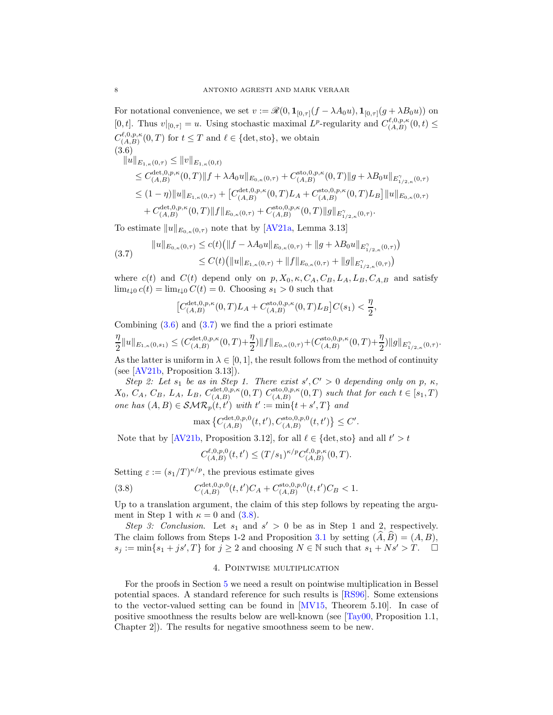For notational convenience, we set  $v := \mathscr{R}(0, \mathbf{1}_{[0,\tau]}(f - \lambda A_0 u), \mathbf{1}_{[0,\tau]}(g + \lambda B_0 u))$  on [0, t]. Thus  $v|_{[0,\tau]} = u$ . Using stochastic maximal  $L^p$ -regularity and  $C_{(A,B)}^{\ell,0,p,\kappa}$  $\binom{(\mathcal{X},\mathcal{Y},\mathcal{P},\kappa}{(A,B)}(0,t)\leq$  $C_{(A,B)}^{\ell,0,p,\kappa}$  $(\mathcal{A}, \mathcal{B})^{(k,0,p,\kappa)}(0,T)$  for  $t \leq T$  and  $\ell \in {\text{det, sto}}$ , we obtain (3.6)

<span id="page-7-0"></span>
$$
\|u\|_{E_{1,\kappa}(0,\tau)} \le \|v\|_{E_{1,\kappa}(0,t)}
$$
  
\n
$$
\le C_{(A,B)}^{\det,0,p,\kappa}(0,T) \|f + \lambda A_0 u\|_{E_{0,\kappa}(0,\tau)} + C_{(A,B)}^{\det,0,p,\kappa}(0,T) \|g + \lambda B_0 u\|_{E_{1/2,\kappa}^{\gamma}(0,\tau)}
$$
  
\n
$$
\le (1-\eta) \|u\|_{E_{1,\kappa}(0,\tau)} + [C_{(A,B)}^{\det,0,p,\kappa}(0,T)L_A + C_{(A,B)}^{\det,0,p,\kappa}(0,T)L_B] \|u\|_{E_{0,\kappa}(0,\tau)}
$$
  
\n
$$
+ C_{(A,B)}^{\det,0,p,\kappa}(0,T) \|f\|_{E_{0,\kappa}(0,\tau)} + C_{(A,B)}^{\det,0,p,\kappa}(0,T) \|g\|_{E_{1/2,\kappa}^{\gamma}(0,\tau)}.
$$

To estimate  $||u||_{E_{0,\kappa}(0,\tau)}$  note that by [\[AV21a,](#page-18-0) Lemma 3.13]

<span id="page-7-1"></span>
$$
(3.7) \quad \|u\|_{E_{0,\kappa}(0,\tau)} \le c(t) \left(\|f - \lambda A_0 u\|_{E_{0,\kappa}(0,\tau)} + \|g + \lambda B_0 u\|_{E_{1/2,\kappa}^{\gamma}(0,\tau)}\right) \n\le C(t) \left(\|u\|_{E_{1,\kappa}(0,\tau)} + \|f\|_{E_{0,\kappa}(0,\tau)} + \|g\|_{E_{1/2,\kappa}^{\gamma}(0,\tau)}\right)
$$

where  $c(t)$  and  $C(t)$  depend only on  $p, X_0, \kappa, C_A, C_B, L_A, L_B, C_{A,B}$  and satisfy  $\lim_{t\downarrow 0} c(t) = \lim_{t\downarrow 0} C(t) = 0.$  Choosing  $s_1 > 0$  such that

$$
\big[C_{(A,B)}^{\text{det},0,p,\kappa}(0,T)L_A+C_{(A,B)}^{\text{sto},0,p,\kappa}(0,T)L_B\big]C(s_1)<\frac{\eta}{2},
$$

Combining  $(3.6)$  and  $(3.7)$  we find the a priori estimate

$$
\frac{\eta}{2}||u||_{E_{1,\kappa}(0,s_1)} \leq (C_{(A,B)}^{\text{det},0,p,\kappa}(0,T)+\frac{\eta}{2})||f||_{E_{0,\kappa}(0,\tau)}+(C_{(A,B)}^{\text{sto},0,p,\kappa}(0,T)+\frac{\eta}{2})||g||_{E_{1/2,\kappa}^{\gamma}(0,\tau)}.
$$

As the latter is uniform in  $\lambda \in [0,1]$ , the result follows from the method of continuity (see [\[AV21b,](#page-18-1) Proposition 3.13]).

*Step 2: Let*  $s_1$  *be as in Step 1. There exist*  $s', C' > 0$  *depending only on*  $p, \kappa$ ,  $X_0, C_A, C_B, L_A, L_B, C_{(A,B)}^{\text{det},0,p,\kappa}$  $C_{(A,B)}^{\det,0,p,\kappa}(0,T) C_{(A,B)}^{\text{sto},0,p,\kappa}$  $\binom{\text{sto},0,p,\kappa}{(A,B)}$  *such that for each*  $t \in [s_1,T)$ *one has*  $(A, B) \in \mathcal{SMR}_p(t, t')$  *with*  $t' := \min\{t + s', T\}$  *and* 

$$
\max \left\{ C_{(A,B)}^{{\rm det},0,p,0}(t,t'), C_{(A,B)}^{{\rm sto},0,p,0}(t,t') \right\} \leq C'.
$$

Note that by [\[AV21b,](#page-18-1) Proposition 3.12], for all  $\ell \in \{\text{det}, \text{sto}\}\$ and all  $t' > t$ 

<span id="page-7-2"></span>
$$
C_{(A,B)}^{\ell,0,p,0}(t,t') \le (T/s_1)^{\kappa/p} C_{(A,B)}^{\ell,0,p,\kappa}(0,T).
$$

Setting  $\varepsilon := (s_1/T)^{\kappa/p}$ , the previous estimate gives

(3.8) 
$$
C_{(A,B)}^{\text{det},0,p,0}(t,t')C_A + C_{(A,B)}^{\text{sto},0,p,0}(t,t')C_B < 1.
$$

Up to a translation argument, the claim of this step follows by repeating the argument in Step 1 with  $\kappa = 0$  and  $(3.8)$ .

*Step 3: Conclusion.* Let  $s_1$  and  $s' > 0$  be as in Step 1 and 2, respectively. The claim follows from Steps 1-2 and Proposition [3.1](#page-5-4) by setting  $(\hat{A}, \hat{B}) = (A, B)$ ,  $s_j := \min\{s_1 + js', T\}$  for  $j \ge 2$  and choosing  $N \in \mathbb{N}$  such that  $s_1 + Ns' > T$ .  $\Box$ 

## 4. Pointwise multiplication

For the proofs in Section [5](#page-10-0) we need a result on pointwise multiplication in Bessel potential spaces. A standard reference for such results is [\[RS96\]](#page-19-11). Some extensions to the vector-valued setting can be found in [\[MV15,](#page-19-12) Theorem 5.10]. In case of positive smoothness the results below are well-known (see [\[Tay00,](#page-19-13) Proposition 1.1, Chapter 2]). The results for negative smoothness seem to be new.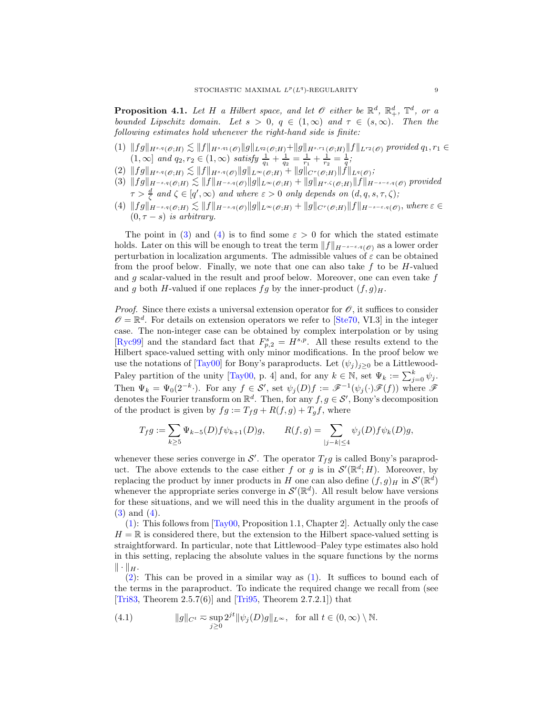<span id="page-8-5"></span>**Proposition 4.1.** Let H a Hilbert space, and let  $\mathscr O$  either be  $\mathbb R^d$ ,  $\mathbb R^d_+$ ,  $\mathbb T^d$ , or a *bounded Lipschitz domain. Let*  $s > 0$ ,  $q \in (1, \infty)$  *and*  $\tau \in (s, \infty)$ *. Then the following estimates hold whenever the right-hand side is finite:*

- <span id="page-8-2"></span> $(1) \|fg\|_{H^{s,q}(\mathscr{O};H)} \lesssim \|f\|_{H^{s,q_1}(\mathscr{O})} \|g\|_{L^{q_2}(\mathscr{O};H)} + \|g\|_{H^{s,r_1}(\mathscr{O};H)} \|f\|_{L^{r_2}(\mathscr{O})}$  provided  $q_1, r_1 \in$  $(1, \infty]$  *and*  $q_2, r_2 \in (1, \infty)$  *satisfy*  $\frac{1}{q_1} + \frac{1}{q_2} = \frac{1}{r_1} + \frac{1}{r_2} = \frac{1}{q}$ ;
- <span id="page-8-3"></span><span id="page-8-0"></span> $(2) \|fg\|_{H^{s,q}(\mathscr{O};H)} \lesssim \|f\|_{H^{s,q}(\mathscr{O})} \|g\|_{L^{\infty}(\mathscr{O};H)} + \|g\|_{C^{\tau}(\mathscr{O};H)} \|f\|_{L^{q}(\mathscr{O})};$
- $\|f\mathscr{G}\|_{H^{-s,q}(\mathscr{O};H)} \lesssim \|f\|_{H^{-s,q}(\mathscr{O})}\|\mathscr{g}\|_{L^\infty(\mathscr{O};H)} + \|g\|_{H^{\tau,\zeta}(\mathscr{O};H)}\|f\|_{H^{-s-\varepsilon,q}(\mathscr{O})}$  provided  $\tau > \frac{d}{\zeta}$  and  $\zeta \in [q', \infty)$  and where  $\varepsilon > 0$  only depends on  $(d, q, s, \tau, \zeta)$ ;
- <span id="page-8-1"></span> $(4) \|fg\|_{H^{-s,q}(\mathscr{O};H)} \lesssim \|f\|_{H^{-s,q}(\mathscr{O})} \|g\|_{L^{\infty}(\mathscr{O};H)} + \|g\|_{C^{\tau}(\mathscr{O};H)} \|f\|_{H^{-s-\varepsilon,q}(\mathscr{O})}, where \varepsilon \in \Theta$  $(0, \tau - s)$  *is arbitrary.*

The point in [\(3\)](#page-8-0) and [\(4\)](#page-8-1) is to find some  $\varepsilon > 0$  for which the stated estimate holds. Later on this will be enough to treat the term  $||f||_{H^{-s-\varepsilon,q}(\mathscr{O})}$  as a lower order perturbation in localization arguments. The admissible values of  $\varepsilon$  can be obtained from the proof below. Finally, we note that one can also take  $f$  to be  $H$ -valued and  $g$  scalar-valued in the result and proof below. Moreover, one can even take  $f$ and g both H-valued if one replaces  $fg$  by the inner-product  $(f, g)_H$ .

*Proof.* Since there exists a universal extension operator for  $\mathcal{O}$ , it suffices to consider  $\mathscr{O} = \mathbb{R}^d$ . For details on extension operators we refer to [\[Ste70,](#page-19-14) VI.3] in the integer case. The non-integer case can be obtained by complex interpolation or by using [\[Ryc99\]](#page-19-15) and the standard fact that  $F_{p,2}^s = H^{s,p}$ . All these results extend to the Hilbert space-valued setting with only minor modifications. In the proof below we use the notations of [\[Tay00\]](#page-19-13) for Bony's paraproducts. Let  $(\psi_i)_{i\geq0}$  be a Littlewood-Paley partition of the unity [\[Tay00,](#page-19-13) p. 4] and, for any  $k \in \mathbb{N}$ , set  $\Psi_k := \sum_{j=0}^k \psi_j$ . Then  $\Psi_k = \Psi_0(2^{-k} \cdot)$ . For any  $f \in \mathcal{S}'$ , set  $\psi_j(D)f := \mathscr{F}^{-1}(\psi_j(\cdot)\mathscr{F}(f))$  where  $\mathscr{F}$ denotes the Fourier transform on  $\mathbb{R}^d$ . Then, for any  $f, g \in \mathcal{S}'$ , Bony's decomposition of the product is given by  $fg := T_f g + R(f, g) + T_g f$ , where

$$
T_f g:=\sum_{k\geq 5} \Psi_{k-5}(D)f\psi_{k+1}(D)g,\qquad R(f,g)=\sum_{|j-k|\leq 4} \psi_j(D)f\psi_k(D)g,
$$

whenever these series converge in  $\mathcal{S}'$ . The operator  $T_f g$  is called Bony's paraproduct. The above extends to the case either f or g is in  $\mathcal{S}'(\mathbb{R}^d;H)$ . Moreover, by replacing the product by inner products in H one can also define  $(f, g)_H$  in  $\mathcal{S}'(\mathbb{R}^d)$ whenever the appropriate series converge in  $\mathcal{S}'(\mathbb{R}^d)$ . All result below have versions for these situations, and we will need this in the duality argument in the proofs of [\(3\)](#page-8-0) and [\(4\)](#page-8-1).

 $(1)$ : This follows from  $\text{Tay00}$ , Proposition 1.1, Chapter 2. Actually only the case  $H = \mathbb{R}$  is considered there, but the extension to the Hilbert space-valued setting is straightforward. In particular, note that Littlewood–Paley type estimates also hold in this setting, replacing the absolute values in the square functions by the norms  $\|\cdot\|_H.$ 

[\(2\)](#page-8-3): This can be proved in a similar way as [\(1\)](#page-8-2). It suffices to bound each of the terms in the paraproduct. To indicate the required change we recall from (see [\[Tri83,](#page-19-16) Theorem  $2.5.7(6)$ ] and [\[Tri95,](#page-19-9) Theorem  $2.7.2.1$ ]) that

<span id="page-8-4"></span>(4.1) 
$$
\|g\|_{C^t} \approx \sup_{j\geq 0} 2^{jt} \|\psi_j(D)g\|_{L^{\infty}}, \text{ for all } t \in (0,\infty) \setminus \mathbb{N}.
$$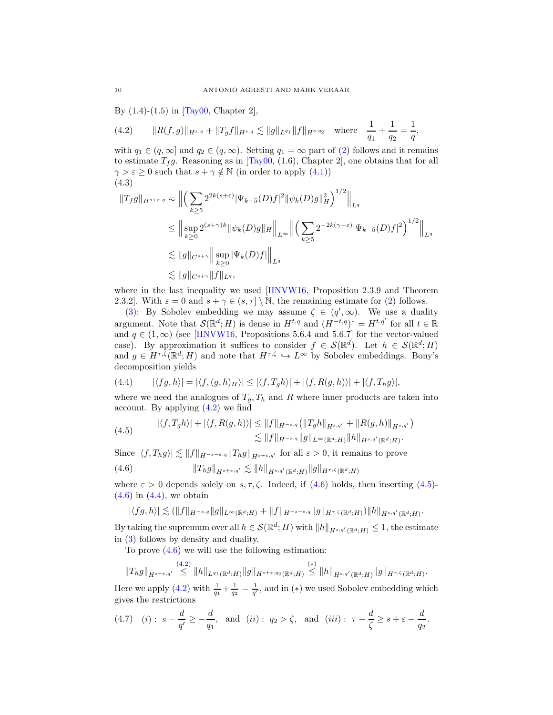By (1.4)-(1.5) in [\[Tay00,](#page-19-13) Chapter 2],

<span id="page-9-0"></span>(4.2) 
$$
\|R(f,g)\|_{H^{s,q}} + \|T_g f\|_{H^{s,q}} \lesssim \|g\|_{L^{q_1}} \|f\|_{H^{s,q_2}} \quad \text{where} \quad \frac{1}{q_1} + \frac{1}{q_2} = \frac{1}{q},
$$

with  $q_1 \in (q,\infty]$  and  $q_2 \in (q,\infty)$ . Setting  $q_1 = \infty$  part of [\(2\)](#page-8-3) follows and it remains to estimate  $T_f g$ . Reasoning as in [\[Tay00,](#page-19-13) (1.6), Chapter 2], one obtains that for all  $\gamma > \varepsilon \geq 0$  such that  $s + \gamma \notin \mathbb{N}$  (in order to apply  $(4.1)$ ) (4.3)

<span id="page-9-5"></span>
$$
\|T_{f}g\|_{H^{s+\varepsilon,q}} \approx \Big\| \Big( \sum_{k\geq 5} 2^{2k(s+\varepsilon)} |\Psi_{k-5}(D)f|^{2} ||\psi_{k}(D)g||_{H}^{2} \Big)^{1/2} \Big\|_{L^{q}} \leq \Big\| \sup_{k\geq 0} 2^{(s+\gamma)k} ||\psi_{k}(D)g||_{H} \Big\|_{L^{\infty}} \Big\| \Big( \sum_{k\geq 5} 2^{-2k(\gamma-\varepsilon)} |\Psi_{k-5}(D)f|^{2} \Big)^{1/2} \Big\|_{L^{q}} \lesssim \|g\|_{C^{s+\gamma}} \Big\| \sup_{k\geq 0} |\Psi_{k}(D)f| \Big\|_{L^{q}} \lesssim \|g\|_{C^{s+\gamma}} \|f\|_{L^{q}},
$$

where in the last inequality we used [\[HNVW16,](#page-19-7) Proposition 2.3.9 and Theorem 2.3.2]. With  $\varepsilon = 0$  and  $s + \gamma \in (s, \tau] \setminus \mathbb{N}$ , the remaining estimate for [\(2\)](#page-8-3) follows.

[\(3\)](#page-8-0): By Sobolev embedding we may assume  $\zeta \in (q', \infty)$ . We use a duality argument. Note that  $\mathcal{S}(\mathbb{R}^d; H)$  is dense in  $H^{t,q}$  and  $(H^{-t,q})^* = H^{t,q'}$  for all  $t \in \mathbb{R}$ and  $q \in (1,\infty)$  (see [\[HNVW16,](#page-19-7) Propositions 5.6.4 and 5.6.7] for the vector-valued case). By approximation it suffices to consider  $f \in \mathcal{S}(\mathbb{R}^d)$ . Let  $h \in \mathcal{S}(\mathbb{R}^d; H)$ and  $g \in H^{\tau,\zeta}(\mathbb{R}^d;H)$  and note that  $H^{\tau,\zeta} \hookrightarrow L^{\infty}$  by Sobolev embeddings. Bony's decomposition yields

<span id="page-9-3"></span>(4.4) 
$$
|\langle fg, h \rangle| = |\langle f, (g, h)_H \rangle| \le |\langle f, T_g h \rangle| + |\langle f, R(g, h) \rangle| + |\langle f, T_h g \rangle|,
$$

where we need the analogues of  $T_q$ ,  $T_h$  and R where inner products are taken into account. By applying [\(4.2\)](#page-9-0) we find

<span id="page-9-2"></span>(4.5) 
$$
|\langle f, T_g h \rangle| + |\langle f, R(g, h) \rangle| \le ||f||_{H^{-s,q}} (||T_g h||_{H^{s,q'}} + ||R(g, h)||_{H^{s,q'}}) \le ||f||_{H^{-s,q}} ||g||_{L^{\infty}(\mathbb{R}^d;H)} ||h||_{H^{s,q'}(\mathbb{R}^d;H)}.
$$

Since  $|\langle f, T_h g \rangle| \lesssim ||f||_{H^{-s-\varepsilon,q}} ||T_h g||_{H^{s+\varepsilon,q'}}$  for all  $\varepsilon > 0$ , it remains to prove

$$
(4.6) \t\t\t ||T_hg||_{H^{s+\varepsilon,q'}} \lesssim ||h||_{H^{s,q'}(\mathbb{R}^d;H)} ||g||_{H^{\tau,\zeta}(\mathbb{R}^d;H)}
$$

where  $\varepsilon > 0$  depends solely on  $s, \tau, \zeta$ . Indeed, if [\(4.6\)](#page-9-1) holds, then inserting [\(4.5\)](#page-9-2)- $(4.6)$  in  $(4.4)$ , we obtain

<span id="page-9-1"></span>
$$
|\langle fg,h\rangle| \lesssim (\|f\|_{H^{-s,q}} \|g\|_{L^{\infty}(\mathbb{R}^d;H)} + \|f\|_{H^{-s-\varepsilon,q}} \|g\|_{H^{\tau,\zeta}(\mathbb{R}^d;H)}) \|h\|_{H^{s,q'}(\mathbb{R}^d;H)}.
$$

By taking the supremum over all  $h \in \mathcal{S}(\mathbb{R}^d; H)$  with  $||h||_{H^{s,q'}(\mathbb{R}^d; H)} \leq 1$ , the estimate in [\(3\)](#page-8-0) follows by density and duality.

To prove [\(4.6\)](#page-9-1) we will use the following estimation:

 $\|T_h g\|_{H^{s+\varepsilon,q'}} \stackrel{(4.2)}{\leq} \|h\|_{L^{q_1}(\mathbb{R}^d;H)} \|g\|_{H^{s+\varepsilon,q_2}(\mathbb{R}^d;H)} \stackrel{(*)}{\leq} \|h\|_{H^{s,q'}(\mathbb{R}^d;H)} \|g\|_{H^{\tau,\zeta}(\mathbb{R}^d;H)}.$  $\|T_h g\|_{H^{s+\varepsilon,q'}} \stackrel{(4.2)}{\leq} \|h\|_{L^{q_1}(\mathbb{R}^d;H)} \|g\|_{H^{s+\varepsilon,q_2}(\mathbb{R}^d;H)} \stackrel{(*)}{\leq} \|h\|_{H^{s,q'}(\mathbb{R}^d;H)} \|g\|_{H^{\tau,\zeta}(\mathbb{R}^d;H)}.$  $\|T_h g\|_{H^{s+\varepsilon,q'}} \stackrel{(4.2)}{\leq} \|h\|_{L^{q_1}(\mathbb{R}^d;H)} \|g\|_{H^{s+\varepsilon,q_2}(\mathbb{R}^d;H)} \stackrel{(*)}{\leq} \|h\|_{H^{s,q'}(\mathbb{R}^d;H)} \|g\|_{H^{\tau,\zeta}(\mathbb{R}^d;H)}.$ 

Here we apply [\(4.2\)](#page-9-0) with  $\frac{1}{q_1} + \frac{1}{q_2} = \frac{1}{q'}$ , and in (\*) we used Sobolev embedding which gives the restrictions

<span id="page-9-4"></span>(4.7) (i): 
$$
s - \frac{d}{q'} \ge -\frac{d}{q_1}
$$
, and (ii):  $q_2 > \zeta$ , and (iii):  $\tau - \frac{d}{\zeta} \ge s + \varepsilon - \frac{d}{q_2}$ .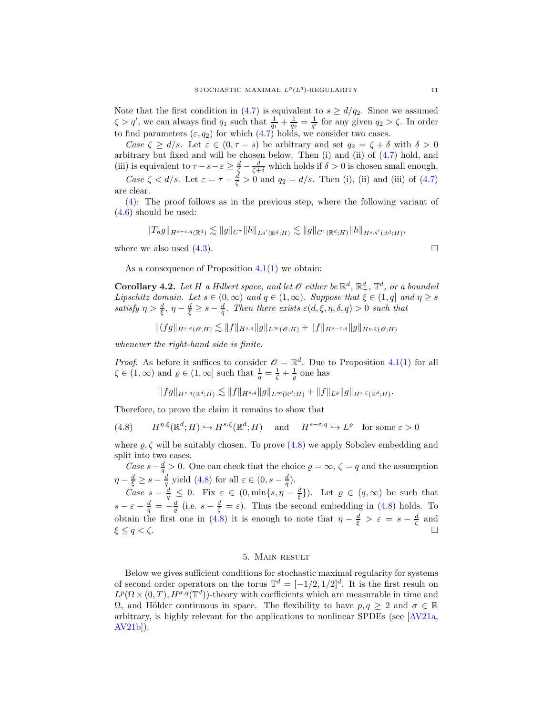Note that the first condition in [\(4.7\)](#page-9-4) is equivalent to  $s \geq d/q_2$ . Since we assumed  $\zeta > q'$ , we can always find  $q_1$  such that  $\frac{1}{q_1} + \frac{1}{q_2} = \frac{1}{q'}$  for any given  $q_2 > \zeta$ . In order to find parameters  $(\varepsilon, q_2)$  for which  $(4.7)$  holds, we consider two cases.

*Case*  $\zeta \geq d/s$ . Let  $\varepsilon \in (0, \tau - s)$  be arbitrary and set  $q_2 = \zeta + \delta$  with  $\delta > 0$ arbitrary but fixed and will be chosen below. Then (i) and (ii) of [\(4.7\)](#page-9-4) hold, and (iii) is equivalent to  $\tau - s - \varepsilon \ge \frac{d}{\zeta} - \frac{d}{\zeta + \delta}$  which holds if  $\delta > 0$  is chosen small enough.

*Case*  $\zeta$  <  $d/s$ . Let  $\varepsilon = \tau - \frac{d}{\zeta} > 0$  and  $q_2 = d/s$ . Then (i), (ii) and (iii) of [\(4.7\)](#page-9-4) are clear.

[\(4\)](#page-8-1): The proof follows as in the previous step, where the following variant of [\(4.6\)](#page-9-1) should be used:

$$
||T_h g||_{H^{s+\varepsilon,q}(\mathbb{R}^d)} \lesssim ||g||_{C^{\tau}} ||h||_{L^{q'}(\mathbb{R}^d;H)} \lesssim ||g||_{C^{\tau}(\mathbb{R}^d;H)} ||h||_{H^{s,q'}(\mathbb{R}^d;H)},
$$

where we also used  $(4.3)$ .

As a consequence of Proposition  $4.1(1)$  $4.1(1)$  we obtain:

<span id="page-10-2"></span>**Corollary 4.2.** Let H a Hilbert space, and let  $\mathscr O$  either be  $\mathbb R^d$ ,  $\mathbb R^d_+$ ,  $\mathbb T^d$ , or a bounded *Lipschitz domain.* Let  $s \in (0, \infty)$  and  $q \in (1, \infty)$ *. Suppose that*  $\xi \in (1, q]$  and  $\eta \geq s$ satisfy  $\eta > \frac{d}{\xi}, \eta - \frac{d}{\xi} \geq s - \frac{d}{q}$ . Then there exists  $\varepsilon(d, \xi, \eta, \delta, q) > 0$  such that

$$
|(fg\|_{H^{s,q}(\mathscr{O};H)} \lesssim \|f\|_{H^{s,q}} \|g\|_{L^\infty(\mathscr{O};H)} + \|f\|_{H^{s-\varepsilon,q}} \|g\|_{H^{\eta,\xi}(\mathscr{O};H)}
$$

*whenever the right-hand side is finite.*

*Proof.* As before it suffices to consider  $\mathcal{O} = \mathbb{R}^d$ . Due to Proposition [4.1\(](#page-8-5)[1\)](#page-8-2) for all  $\zeta \in (1,\infty)$  and  $\varrho \in (1,\infty]$  such that  $\frac{1}{q} = \frac{1}{\zeta} + \frac{1}{\varrho}$  one has

<span id="page-10-1"></span>
$$
\|fg\|_{H^{s,q}(\mathbb{R}^d;H)} \lesssim \|f\|_{H^{s,q}} \|g\|_{L^\infty(\mathbb{R}^d;H)} + \|f\|_{L^\varrho} \|g\|_{H^{s,\zeta}(\mathbb{R}^d;H)}.
$$

Therefore, to prove the claim it remains to show that

(4.8) 
$$
H^{\eta,\xi}(\mathbb{R}^d;H) \hookrightarrow H^{s,\zeta}(\mathbb{R}^d;H)
$$
 and  $H^{s-\varepsilon,q} \hookrightarrow L^{\varrho}$  for some  $\varepsilon > 0$ 

where  $\rho$ ,  $\zeta$  will be suitably chosen. To prove [\(4.8\)](#page-10-1) we apply Sobolev embedding and split into two cases.

*Case*  $s - \frac{d}{q} > 0$ . One can check that the choice  $\varrho = \infty$ ,  $\zeta = q$  and the assumption  $\eta - \frac{d}{\xi} \geq s - \frac{d}{q}$  yield [\(4.8\)](#page-10-1) for all  $\varepsilon \in (0, s - \frac{d}{q})$ .

*Case*  $s - \frac{d}{q} \leq 0$ . Fix  $\varepsilon \in (0, \min\{s, \eta - \frac{d}{\xi}\})$ . Let  $\varrho \in (q, \infty)$  be such that  $s - \varepsilon - \frac{d}{q} = -\frac{d}{q}$  (i.e.  $s - \frac{d}{\zeta} = \varepsilon$ ). Thus the second embedding in [\(4.8\)](#page-10-1) holds. To obtain the first one in [\(4.8\)](#page-10-1) it is enough to note that  $\eta - \frac{d}{\xi} > \varepsilon = s - \frac{d}{\zeta}$  and  $\xi \leq q < \zeta$ .

#### 5. Main result

<span id="page-10-0"></span>Below we gives sufficient conditions for stochastic maximal regularity for systems of second order operators on the torus  $\mathbb{T}^d = [-1/2, 1/2]^d$ . It is the first result on  $L^p(\Omega\times(0,T),H^{\sigma,q}(\mathbb{T}^d))$ -theory with coefficients which are measurable in time and Ω, and Hölder continuous in space. The flexibility to have  $p, q ≥ 2$  and  $σ ∈ ℝ$ arbitrary, is highly relevant for the applications to nonlinear SPDEs (see [\[AV21a,](#page-18-0) [AV21b\]](#page-18-1)).

$$
\Box
$$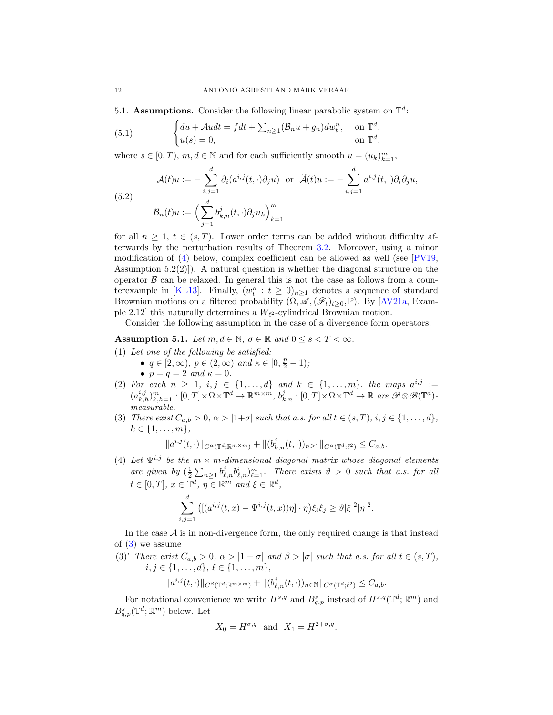5.1. Assumptions. Consider the following linear parabolic system on  $\mathbb{T}^d$ :

<span id="page-11-4"></span>(5.1) 
$$
\begin{cases} du + \mathcal{A}u dt = f dt + \sum_{n \ge 1} (\mathcal{B}_n u + g_n) dw_t^n, & \text{on } \mathbb{T}^d, \\ u(s) = 0, & \text{on } \mathbb{T}^d, \end{cases}
$$

where  $s \in [0, T)$ ,  $m, d \in \mathbb{N}$  and for each sufficiently smooth  $u = (u_k)_{k=1}^m$ ,

<span id="page-11-2"></span>(5.2)  
\n
$$
\mathcal{A}(t)u := -\sum_{i,j=1}^d \partial_i (a^{i,j}(t,\cdot)\partial_j u) \text{ or } \tilde{\mathcal{A}}(t)u := -\sum_{i,j=1}^d a^{i,j}(t,\cdot)\partial_i \partial_j u,
$$
\n
$$
\mathcal{B}_n(t)u := \Big(\sum_{j=1}^d b_{k,n}^j(t,\cdot)\partial_j u_k\Big)_{k=1}^m
$$

for all  $n \geq 1$ ,  $t \in (s, T)$ . Lower order terms can be added without difficulty afterwards by the perturbation results of Theorem [3.2.](#page-6-1) Moreover, using a minor modification of  $(4)$  below, complex coefficient can be allowed as well (see [\[PV19,](#page-19-5) Assumption  $5.2(2)$ . A natural question is whether the diagonal structure on the operator  $\beta$  can be relaxed. In general this is not the case as follows from a coun-terexample in [\[KL13\]](#page-19-3). Finally,  $(w_t^n : t \ge 0)_{n \ge 1}$  denotes a sequence of standard Brownian motions on a filtered probability  $(\Omega, \mathscr{A}, (\mathscr{F}_t)_{t>0}, \mathbb{P})$ . By [\[AV21a,](#page-18-0) Example 2.12] this naturally determines a  $W_{\ell^2}$ -cylindrical Brownian motion.

Consider the following assumption in the case of a divergence form operators.

<span id="page-11-3"></span>Assumption 5.1. Let  $m, d \in \mathbb{N}$ ,  $\sigma \in \mathbb{R}$  and  $0 \leq s < T < \infty$ .

- (1) *Let one of the following be satisfied:*
	- $q \in [2, \infty)$ ,  $p \in (2, \infty)$  and  $\kappa \in [0, \frac{p}{2} 1)$ ;
	- $p = q = 2$  *and*  $\kappa = 0$ *.*
- (2) For each  $n \geq 1$ ,  $i, j \in \{1, ..., d\}$  and  $k \in \{1, ..., m\}$ , the maps  $a^{i,j} :=$  $(a_{k,h}^{i,j})_{k,h=1}^m : [0,T] \times \Omega \times \mathbb{T}^d \to \mathbb{R}^{m \times m}, b_{k,n}^j : [0,T] \times \Omega \times \mathbb{T}^d \to \mathbb{R}$  are  $\mathscr{P} \otimes \mathscr{B}(\mathbb{T}^d)$ *measurable.*
- <span id="page-11-1"></span>(3) *There exist*  $C_{a,b} > 0$ ,  $\alpha > |1+\sigma|$  *such that a.s. for all*  $t \in (s,T)$ ,  $i, j \in \{1, \ldots, d\}$ ,  $k \in \{1, \ldots, m\},\$

$$
||a^{i,j}(t,\cdot)||_{C^{\alpha}(\mathbb{T}^d;\mathbb{R}^{m\times m})}+||(b^j_{k,n}(t,\cdot))_{n\geq 1}||_{C^{\alpha}(\mathbb{T}^d;\ell^2)}\leq C_{a,b}.
$$

<span id="page-11-0"></span>(4) Let  $\Psi^{i,j}$  be the  $m \times m$ -dimensional diagonal matrix whose diagonal elements *are given by*  $(\frac{1}{2}\sum_{n\geq 1} b_{\ell,n}^j b_{\ell,n}^i)_{\ell=1}^m$ . There exists  $\vartheta > 0$  such that a.s. for all  $t \in [0, T], x \in \mathbb{T}^d, \eta \in \mathbb{R}^m \text{ and } \xi \in \mathbb{R}^d,$ 

$$
\sum_{i,j=1}^d \left( \left[ \left( a^{i,j}(t,x) - \Psi^{i,j}(t,x) \right) \eta \right] \cdot \eta \right) \xi_i \xi_j \geq \vartheta |\xi|^2 |\eta|^2.
$$

In the case  $A$  is in non-divergence form, the only required change is that instead of [\(3\)](#page-11-1) we assume

<span id="page-11-5"></span>(3)' *There exist*  $C_{a,b} > 0$ ,  $\alpha > |1 + \sigma|$  and  $\beta > |\sigma|$  *such that a.s. for all*  $t \in (s, T)$ *,*  $i, j \in \{1, \ldots, d\}, \ell \in \{1, \ldots, m\},\$ 

$$
||a^{i,j}(t,\cdot)||_{C^{\beta}(\mathbb{T}^d;\mathbb{R}^{m\times m})}+||(b^j_{\ell,n}(t,\cdot))_{n\in\mathbb{N}}||_{C^{\alpha}(\mathbb{T}^d;\ell^2)}\leq C_{a,b}.
$$

For notational convenience we write  $H^{s,q}$  and  $B^s_{q,p}$  instead of  $H^{s,q}(\mathbb{T}^d;\mathbb{R}^m)$  and  $B^s_{q,p}(\mathbb{T}^d;\mathbb{R}^m)$  below. Let

$$
X_0 = H^{\sigma, q} \quad \text{and} \quad X_1 = H^{2 + \sigma, q}.
$$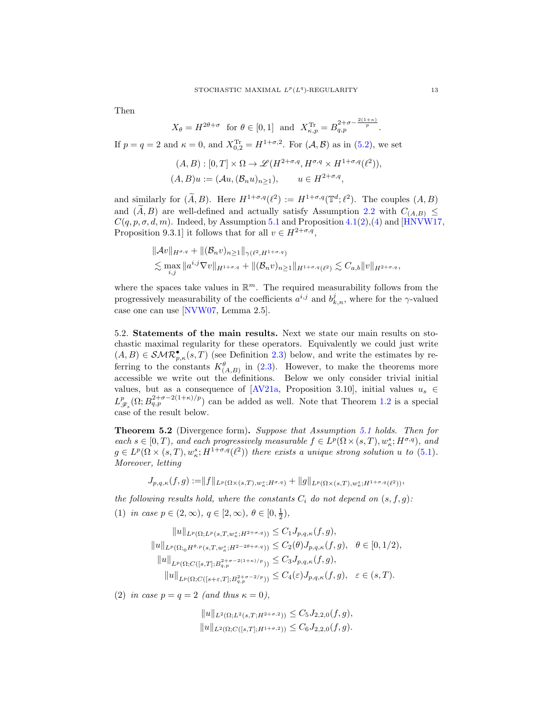Then

$$
X_{\theta} = H^{2\theta + \sigma}
$$
 for  $\theta \in [0, 1]$  and  $X_{\kappa, p}^{\text{Tr}} = B_{q, p}^{2+\sigma - \frac{2(1+\kappa)}{p}}$ .

If  $p = q = 2$  and  $\kappa = 0$ , and  $X_{0,2}^{Tr} = H^{1+\sigma,2}$ . For  $(\mathcal{A}, \mathcal{B})$  as in  $(5.2)$ , we set

$$
(A, B) : [0, T] \times \Omega \to \mathcal{L}(H^{2+\sigma,q}, H^{\sigma,q} \times H^{1+\sigma,q}(\ell^2)),
$$
  

$$
(A, B)u := (\mathcal{A}u, (\mathcal{B}_nu)_{n \ge 1}), \qquad u \in H^{2+\sigma,q},
$$

and similarly for  $(\widetilde{A},B)$ . Here  $H^{1+\sigma,q}(\ell^2) := H^{1+\sigma,q}(\mathbb{T}^d;\ell^2)$ . The couples  $(A, B)$ and  $(\tilde{A}, B)$  are well-defined and actually satisfy Assumption [2.2](#page-2-1) with  $C_{(A,B)} \leq$  $C(q, p, \sigma, d, m)$ . Indeed, by Assumption [5.1](#page-11-3) and Proposition [4.1\(](#page-8-5)[2\)](#page-8-3),[\(4\)](#page-8-1) and [\[HNVW17,](#page-19-17) Proposition 9.3.1] it follows that for all  $v \in H^{2+\sigma,q}$ ,

$$
\|\mathcal{A}v\|_{H^{\sigma,q}} + \|(\mathcal{B}_n v)_{n\geq 1}\|_{\gamma(\ell^2, H^{1+\sigma,q})}
$$
  
\$\lesssim \max\_{i,j} \|a^{i,j}\nabla v\|\_{H^{1+\sigma,q}} + \|(\mathcal{B}\_n v)\_{n\geq 1}\|\_{H^{1+\sigma,q}(\ell^2)} \lesssim C\_{a,b} \|v\|\_{H^{2+\sigma,q}},

where the spaces take values in  $\mathbb{R}^m$ . The required measurability follows from the progressively measurability of the coefficients  $a^{i,j}$  and  $b_{k,n}^j$ , where for the  $\gamma$ -valued case one can use [\[NVW07,](#page-19-18) Lemma 2.5].

5.2. Statements of the main results. Next we state our main results on stochastic maximal regularity for these operators. Equivalently we could just write  $(A, B) \in \mathcal{SMR}_{p,\kappa}^{\bullet}(s,T)$  (see Definition [2.3\)](#page-3-1) below, and write the estimates by referring to the constants  $K^{\theta}_{(A,B)}$  in [\(2.3\)](#page-4-2). However, to make the theorems more accessible we write out the definitions. Below we only consider trivial initial values, but as a consequence of [\[AV21a,](#page-18-0) Proposition 3.10], initial values  $u_s \in$  $L_{\mathscr{F}_s}^p(\Omega; B_{q,p}^{2+\sigma-2(1+\kappa)/p})$  can be added as well. Note that Theorem [1.2](#page-1-2) is a special case of the result below.

<span id="page-12-0"></span>Theorem 5.2 (Divergence form). *Suppose that Assumption [5.1](#page-11-3) holds. Then for*  $each \ s \in [0, T)$ , and each progressively measurable  $f \in L^p(\Omega \times (s, T), w_{\kappa}^s; H^{\sigma,q})$ , and  $g \in L^p(\Omega \times (s,T), w_{\kappa}^s; H^{1+\sigma,q}(\ell^2))$  there exists a unique strong solution u to [\(5.1\)](#page-11-4). *Moreover, letting*

$$
J_{p,q,\kappa}(f,g) := ||f||_{L^p(\Omega \times (s,T),w^s_{\kappa};H^{\sigma,q})} + ||g||_{L^p(\Omega \times (s,T),w^s_{\kappa};H^{1+\sigma,q}(\ell^2))},
$$

*the following results hold, where the constants*  $C_i$  *do not depend on*  $(s, f, g)$ *:* (1) *in case*  $p \in (2, \infty)$ ,  $q \in [2, \infty)$ ,  $\theta \in [0, \frac{1}{2})$ ,

$$
||u||_{L^{p}(\Omega;L^{p}(s,T,w_{\kappa}^{s};H^{2+\sigma,q}))} \leq C_{1}J_{p,q,\kappa}(f,g),
$$
  
\n
$$
||u||_{L^{p}(\Omega;_{0}H^{\theta,p}(s,T,w_{\kappa}^{s};H^{2-2\theta+\sigma,q}))} \leq C_{2}(\theta)J_{p,q,\kappa}(f,g), \quad \theta \in [0,1/2),
$$
  
\n
$$
||u||_{L^{p}(\Omega;C([s,T];B^{2+\sigma-2(1+\kappa)/p}))} \leq C_{3}J_{p,q,\kappa}(f,g),
$$
  
\n
$$
||u||_{L^{p}(\Omega;C([s+\varepsilon,T];B^{2+\sigma-2/p}))} \leq C_{4}(\varepsilon)J_{p,q,\kappa}(f,g), \quad \varepsilon \in (s,T).
$$

(2) *in case*  $p = q = 2$  *(and thus*  $\kappa = 0$ *)*,

$$
||u||_{L^{2}(\Omega;L^{2}(s,T;H^{2+\sigma,2}))} \leq C_{5}J_{2,2,0}(f,g),
$$
  
\n
$$
||u||_{L^{2}(\Omega;C([s,T];H^{1+\sigma,2}))} \leq C_{6}J_{2,2,0}(f,g).
$$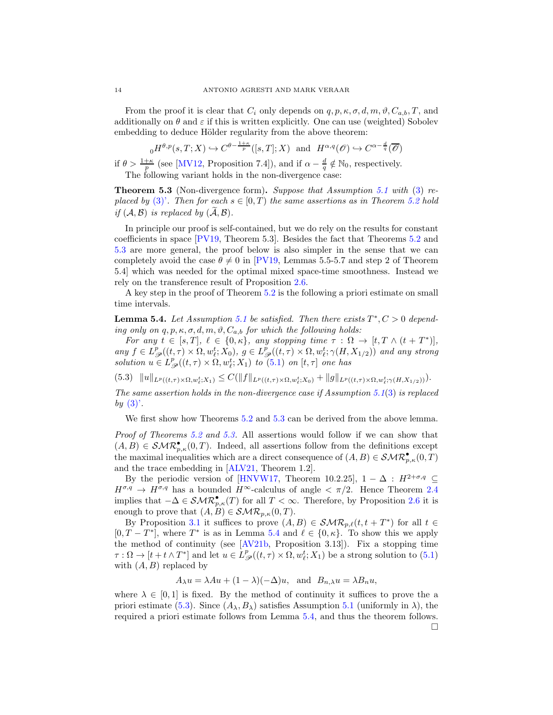From the proof it is clear that  $C_i$  only depends on  $q, p, \kappa, \sigma, d, m, \vartheta, C_{a,b}, T$ , and additionally on  $\theta$  and  $\varepsilon$  if this is written explicitly. One can use (weighted) Sobolev embedding to deduce Hölder regularity from the above theorem:

$$
_0H^{\theta,p}(s,T;X) \hookrightarrow C^{\theta-\frac{1+\kappa}{p}}([s,T];X)
$$
 and  $H^{\alpha,q}(\mathscr{O}) \hookrightarrow C^{\alpha-\frac{d}{q}}(\overline{\mathscr{O}})$ 

if  $\theta > \frac{1+\kappa}{p}$  (see [\[MV12,](#page-19-8) Proposition 7.4]), and if  $\alpha - \frac{d}{q} \notin \mathbb{N}_0$ , respectively. The following variant holds in the non-divergence case:

<span id="page-13-0"></span>Theorem 5.3 (Non-divergence form). *Suppose that Assumption [5.1](#page-11-3) with* [\(3\)](#page-11-1) *replaced by* [\(3\)'](#page-11-5). Then for each  $s \in [0, T)$  *the same assertions as in Theorem [5.2](#page-12-0) hold if*  $(A, B)$  *is replaced by*  $(A, B)$ *.* 

In principle our proof is self-contained, but we do rely on the results for constant coefficients in space [\[PV19,](#page-19-5) Theorem 5.3]. Besides the fact that Theorems [5.2](#page-12-0) and [5.3](#page-13-0) are more general, the proof below is also simpler in the sense that we can completely avoid the case  $\theta \neq 0$  in [\[PV19,](#page-19-5) Lemmas 5.5-5.7 and step 2 of Theorem 5.4] which was needed for the optimal mixed space-time smoothness. Instead we rely on the transference result of Proposition [2.6.](#page-4-0)

A key step in the proof of Theorem [5.2](#page-12-0) is the following a priori estimate on small time intervals.

<span id="page-13-1"></span>**Lemma 5.4.** Let Assumption [5.1](#page-11-3) be satisfied. Then there exists  $T^*, C > 0$  depend*ing only on*  $q, p, \kappa, \sigma, d, m, \vartheta, C_{a,b}$  *for which the following holds:* 

*For any*  $t \in [s, T], \ell \in \{0, \kappa\},$  any stopping time  $\tau : \Omega \to [t, T \wedge (t + T^*)],$  $any f \in L^p_{\mathscr{P}}((t,\tau) \times \Omega, w_t^t; X_0), g \in L^p_{\mathscr{P}}((t,\tau) \times \Omega, w_t^t; \gamma(H, X_{1/2}))$  and any strong  $solution u \in L^p_{\mathscr{P}}((t,\tau) \times \Omega, w_\ell^t; X_1) \text{ to } (5.1) \text{ on } [t,\tau] \text{ one has}$  $solution u \in L^p_{\mathscr{P}}((t,\tau) \times \Omega, w_\ell^t; X_1) \text{ to } (5.1) \text{ on } [t,\tau] \text{ one has}$  $solution u \in L^p_{\mathscr{P}}((t,\tau) \times \Omega, w_\ell^t; X_1) \text{ to } (5.1) \text{ on } [t,\tau] \text{ one has}$ 

<span id="page-13-2"></span>(5.3)  $||u||_{L^p((t,\tau)\times\Omega,w_{\ell}^t;X_1)} \leq C(||f||_{L^p((t,\tau)\times\Omega,w_{\ell}^t;X_0)} + ||g||_{L^p((t,\tau)\times\Omega,w_{\ell}^t;Y(H,X_{1/2}))}).$ 

*The same assertion holds in the non-divergence case if Assumption [5.1](#page-11-3)*[\(3\)](#page-11-1) *is replaced by* [\(3\)'](#page-11-5)*.*

We first show how Theorems [5.2](#page-12-0) and [5.3](#page-13-0) can be derived from the above lemma.

*Proof of Theorems [5.2](#page-12-0) and [5.3.](#page-13-0)* All assertions would follow if we can show that  $(A, B) \in \mathcal{SMR}_{p,\kappa}^{\bullet}(0,T)$ . Indeed, all assertions follow from the definitions except the maximal inequalities which are a direct consequence of  $(A, B) \in \mathcal{SMR}_{p,\kappa}^{\bullet}(0,T)$ and the trace embedding in [\[ALV21,](#page-18-5) Theorem 1.2].

By the periodic version of [\[HNVW17,](#page-19-17) Theorem 10.2.25],  $1 - \Delta : H^{2+\sigma,q} \subseteq$  $H^{\sigma,q} \to H^{\sigma,q}$  has a bounded  $H^{\infty}$ -calculus of angle  $\langle \pi/2 \rangle$ . Hence Theorem [2.4](#page-4-3) implies that  $-\Delta \in \mathcal{SMR}_{p,\kappa}^{\bullet}(T)$  for all  $T < \infty$ . Therefore, by Proposition [2.6](#page-4-0) it is enough to prove that  $(A, B) \in \mathcal{SMR}_{p,\kappa}(0,T)$ .

By Proposition [3.1](#page-5-4) it suffices to prove  $(A, B) \in \mathcal{SMR}_{p,\ell}(t, t + T^*)$  for all  $t \in$  $[0, T - T^*]$ , where  $T^*$  is as in Lemma [5.4](#page-13-1) and  $\ell \in \{0, \kappa\}$ . To show this we apply the method of continuity (see  $[AV21b, Proposition 3.13]$ ). Fix a stopping time  $\tau : \Omega \to [t + t \wedge T^*]$  and let  $u \in L^p_{\mathscr{P}}((t, \tau) \times \Omega, w_\ell^t; X_1)$  be a strong solution to [\(5.1\)](#page-11-4) with  $(A, B)$  replaced by

 $A_{\lambda}u = \lambda Au + (1 - \lambda)(-\Delta)u$ , and  $B_{n,\lambda}u = \lambda B_n u$ ,

where  $\lambda \in [0,1]$  is fixed. By the method of continuity it suffices to prove the a priori estimate [\(5.3\)](#page-13-2). Since  $(A_\lambda, B_\lambda)$  satisfies Assumption [5.1](#page-11-3) (uniformly in  $\lambda$ ), the required a priori estimate follows from Lemma [5.4,](#page-13-1) and thus the theorem follows.  $\Box$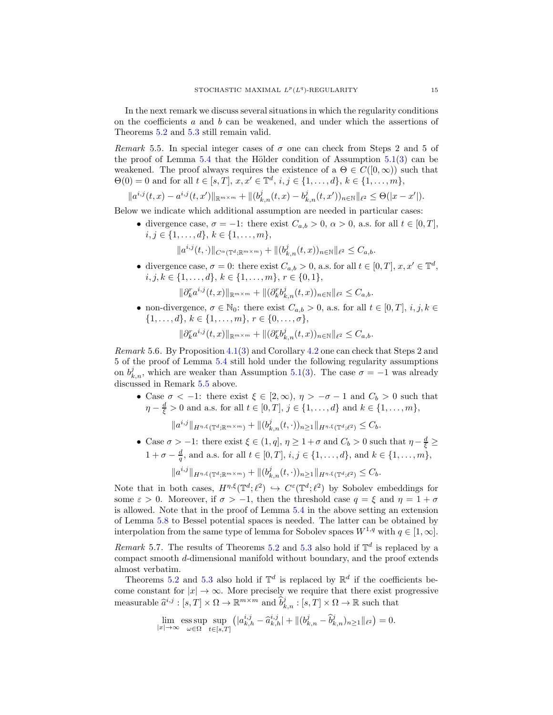In the next remark we discuss several situations in which the regularity conditions on the coefficients  $a$  and  $b$  can be weakened, and under which the assertions of Theorems [5.2](#page-12-0) and [5.3](#page-13-0) still remain valid.

<span id="page-14-1"></span>*Remark* 5.5. In special integer cases of  $\sigma$  one can check from Steps 2 and 5 of the proof of Lemma  $5.4$  that the Hölder condition of Assumption  $5.1(3)$  $5.1(3)$  can be weakened. The proof always requires the existence of a  $\Theta \in C([0,\infty))$  such that  $\Theta(0) = 0$  and for all  $t \in [s, T], x, x' \in \mathbb{T}^d, i, j \in \{1, ..., d\}, k \in \{1, ..., m\},$ 

$$
||a^{i,j}(t,x)-a^{i,j}(t,x')||_{\mathbb{R}^{m\times m}}+||(b^j_{k,n}(t,x)-b^j_{k,n}(t,x'))_{n\in\mathbb{N}}||_{\ell^2}\leq\Theta(|x-x'|).
$$

Below we indicate which additional assumption are needed in particular cases:

• divergence case,  $\sigma = -1$ : there exist  $C_{a,b} > 0$ ,  $\alpha > 0$ , a.s. for all  $t \in [0, T]$ ,  $i, j \in \{1, \ldots, d\}, k \in \{1, \ldots, m\},\$ 

 $||a^{i,j}(t, \cdot)||_{C^{\alpha}(\mathbb{T}^d;\mathbb{R}^{m\times m})} + ||(b^j_{k,n}(t,x))_{n\in\mathbb{N}}||_{\ell^2} \leq C_{a,b}.$ 

• divergence case,  $\sigma = 0$ : there exist  $C_{a,b} > 0$ , a.s. for all  $t \in [0, T]$ ,  $x, x' \in \mathbb{T}^d$ ,  $i, j, k \in \{1, \ldots, d\}, k \in \{1, \ldots, m\}, r \in \{0, 1\},\$ 

$$
\|\partial_k^r a^{i,j}(t,x)\|_{\mathbb{R}^{m\times m}} + \|(\partial_k^r b_{k,n}^j(t,x))_{n\in\mathbb{N}}\|_{\ell^2} \leq C_{a,b}.
$$

• non-divergence,  $\sigma \in \mathbb{N}_0$ : there exist  $C_{a,b} > 0$ , a.s. for all  $t \in [0,T]$ ,  $i, j, k \in$  $\{1, \ldots, d\}, k \in \{1, \ldots, m\}, r \in \{0, \ldots, \sigma\},\$ 

$$
\|\partial_k^r a^{i,j}(t,x)\|_{\mathbb{R}^{m \times m}} + \|(\partial_k^r b_{k,n}^j(t,x))_{n \in \mathbb{N}}\|_{\ell^2} \leq C_{a,b}.
$$

*Remark* 5.6*.* By Proposition [4.1](#page-8-5)[\(3\)](#page-8-0) and Corollary [4.2](#page-10-2) one can check that Steps 2 and 5 of the proof of Lemma [5.4](#page-13-1) still hold under the following regularity assumptions on  $b_{k,n}^j$ , which are weaker than Assumption [5.1](#page-11-3)[\(3\)](#page-11-1). The case  $\sigma = -1$  was already discussed in Remark [5.5](#page-14-1) above.

• Case  $\sigma < -1$ : there exist  $\xi \in [2, \infty)$ ,  $\eta > -\sigma - 1$  and  $C_b > 0$  such that  $\eta - \frac{d}{\xi} > 0$  and a.s. for all  $t \in [0, T]$ ,  $j \in \{1, ..., d\}$  and  $k \in \{1, ..., m\}$ ,

$$
||a^{i,j}||_{H^{\eta,\xi}(\mathbb{T}^d;\mathbb{R}^{m\times m})}+||(b_{k,n}^j(t,\cdot))_{n\geq 1}||_{H^{\eta,\xi}(\mathbb{T}^d;\ell^2)}\leq C_b.
$$

• Case  $\sigma > -1$ : there exist  $\xi \in (1, q], \eta \geq 1 + \sigma$  and  $C_b > 0$  such that  $\eta - \frac{d}{\xi} \geq 0$  $1 + \sigma - \frac{d}{q}$ , and a.s. for all  $t \in [0, T]$ ,  $i, j \in \{1, ..., d\}$ , and  $k \in \{1, ..., m\}$ ,

$$
\|a^{i,j}\|_{H^{\eta,\xi}(\mathbb{T}^d;\mathbb{R}^{m\times m})}+\|(b^j_{k,n}(t,\cdot))_{n\geq 1}\|_{H^{\eta,\xi}(\mathbb{T}^d;\ell^2)}\leq C_b.
$$

Note that in both cases,  $H^{\eta,\xi}(\mathbb{T}^d;\ell^2) \hookrightarrow C^{\varepsilon}(\mathbb{T}^d;\ell^2)$  by Sobolev embeddings for some  $\varepsilon > 0$ . Moreover, if  $\sigma > -1$ , then the threshold case  $q = \xi$  and  $\eta = 1 + \sigma$ is allowed. Note that in the proof of Lemma [5.4](#page-13-1) in the above setting an extension of Lemma [5.8](#page-15-0) to Bessel potential spaces is needed. The latter can be obtained by interpolation from the same type of lemma for Sobolev spaces  $W^{1,q}$  with  $q \in [1,\infty]$ .

<span id="page-14-0"></span>*Remark* 5.7. The results of Theorems [5.2](#page-12-0) and [5.3](#page-13-0) also hold if  $\mathbb{T}^d$  is replaced by a compact smooth d-dimensional manifold without boundary, and the proof extends almost verbatim.

Theorems [5.2](#page-12-0) and [5.3](#page-13-0) also hold if  $\mathbb{T}^d$  is replaced by  $\mathbb{R}^d$  if the coefficients become constant for  $|x| \to \infty$ . More precisely we require that there exist progressive measurable  $\hat{a}^{i,j} : [s,T] \times \Omega \to \mathbb{R}^{m \times m}$  and  $\hat{b}^j_{k,n} : [s,T] \times \Omega \to \mathbb{R}$  such that

$$
\lim_{|x| \to \infty} \operatorname*{ess\,sup}_{\omega \in \Omega} \sup_{t \in [s,T]} \left( |a_{k,h}^{i,j} - \hat{a}_{k,h}^{i,j}| + \| (b_{k,n}^j - \hat{b}_{k,n}^j)_{n \ge 1} \|_{\ell^2} \right) = 0.
$$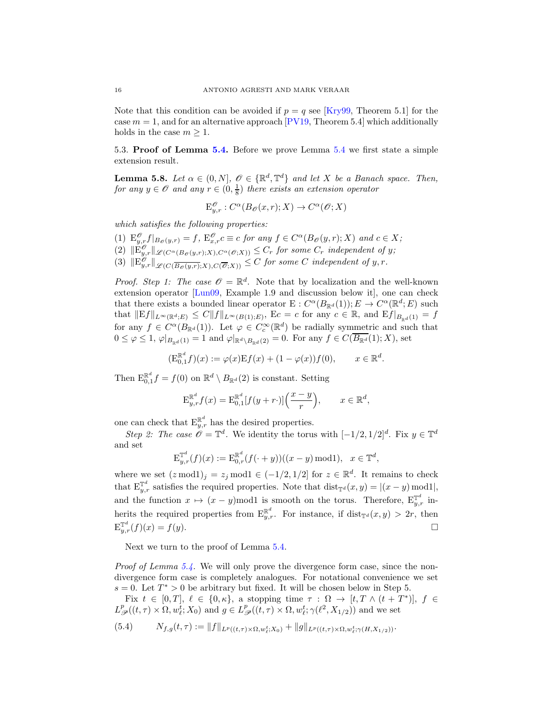Note that this condition can be avoided if  $p = q$  see [\[Kry99,](#page-19-4) Theorem 5.1] for the case  $m = 1$ , and for an alternative approach [\[PV19,](#page-19-5) Theorem 5.4] which additionally holds in the case  $m \geq 1$ .

5.3. Proof of Lemma [5.4.](#page-13-1) Before we prove Lemma [5.4](#page-13-1) we first state a simple extension result.

<span id="page-15-0"></span>**Lemma 5.8.** *Let*  $\alpha \in (0, N]$ ,  $\mathscr{O} \in \{\mathbb{R}^d, \mathbb{T}^d\}$  *and let* X *be a Banach space. Then, for any*  $y \in \mathcal{O}$  *and any*  $r \in (0, \frac{1}{8})$  *there exists an extension operator* 

$$
\mathcal{E}^{\mathcal{O}}_{y,r}: C^{\alpha}(B_{\mathcal{O}}(x,r);X) \to C^{\alpha}(\mathcal{O};X)
$$

*which satisfies the following properties:*

(1)  $E_{y,r}^{\mathscr{O}}f|_{B_{\mathscr{O}}(y,r)} = f$ ,  $E_{x,r}^{\mathscr{O}}c \equiv c$  *for any*  $f \in C^{\alpha}(B_{\mathscr{O}}(y,r);X)$  *and*  $c \in X$ ;  $(2)$   $\|\mathbb{E}_{y,r}^{\mathscr{O}}\|_{\mathscr{L}(C^{\alpha}(B_{\mathscr{O}}(y,r);X),C^{\alpha}(\mathscr{O};X))} \leq C_r$  *for some*  $C_r$  *independent of* y; (3)  $\|\mathbf{E}^{\mathscr{O}}_{y,r}\|_{\mathscr{L}(C(\overline{B_{\mathscr{O}}(y,r)},X),C(\overline{\mathscr{O}};X))} \leq C$  *for some* C *independent of* y, r.

*Proof. Step 1: The case*  $\mathcal{O} = \mathbb{R}^d$ . Note that by localization and the well-known extension operator [\[Lun09,](#page-19-19) Example 1.9 and discussion below it], one can check that there exists a bounded linear operator  $E: C^{\alpha}(B_{\mathbb{R}^d}(1)); E \to C^{\alpha}(\mathbb{R}^d; E)$  such that  $||Ef||_{L^{\infty}(\mathbb{R}^d;E)} \leq C||f||_{L^{\infty}(B(1);E)}$ , Ec = c for any  $c \in \mathbb{R}$ , and  $Ef|_{B_{\mathbb{R}^d}(1)} = f$ for any  $f \in C^{\alpha}(B_{\mathbb{R}^d}(1))$ . Let  $\varphi \in C_c^{\infty}(\mathbb{R}^d)$  be radially symmetric and such that  $0 \leq \varphi \leq 1$ ,  $\varphi|_{B_{\mathbb{R}d}(1)} = 1$  and  $\varphi|_{\mathbb{R}^d \setminus B_{\mathbb{R}d}(2)} = 0$ . For any  $f \in C(\overline{B_{\mathbb{R}^d}}(1); X)$ , set

$$
(\mathbf{E}_{0,1}^{\mathbb{R}^d} f)(x) := \varphi(x) \mathbf{E} f(x) + (1 - \varphi(x)) f(0), \qquad x \in \mathbb{R}^d.
$$

Then  $\mathbb{E}_{0,1}^{\mathbb{R}^d} f = f(0)$  on  $\mathbb{R}^d \setminus B_{\mathbb{R}^d}(2)$  is constant. Setting

$$
\mathbf{E}_{y,r}^{\mathbb{R}^d} f(x) = \mathbf{E}_{0,1}^{\mathbb{R}^d} [f(y+r\cdot)] \left(\frac{x-y}{r}\right), \qquad x \in \mathbb{R}^d,
$$

one can check that  $E_{y,r}^{\mathbb{R}^d}$  has the desired properties.

*Step 2: The case*  $\mathscr{O} = \mathbb{T}^d$ . We identity the torus with  $[-1/2, 1/2]^d$ . Fix  $y \in \mathbb{T}^d$ and set

$$
\mathbb{E}_{y,r}^{\mathbb{T}^d}(f)(x) := \mathbb{E}_{0,r}^{\mathbb{R}^d}(f(\cdot + y))((x - y) \bmod 1), \ \ x \in \mathbb{T}^d,
$$

where we set  $(z \mod 1)_j = z_j \mod 1 \in (-1/2, 1/2]$  for  $z \in \mathbb{R}^d$ . It remains to check that  $\mathrm{E}_{y,r}^{\mathbb{T}^d}$  satisfies the required properties. Note that  $\mathrm{dist}_{\mathbb{T}^d}(x,y) = |(x-y) \bmod 1|$ , and the function  $x \mapsto (x - y)$  modl is smooth on the torus. Therefore,  $E_{y,r}^{\mathbb{T}^d}$  inherits the required properties from  $E_{y,r}^{\mathbb{R}^d}$ . For instance, if  $dist_{\mathbb{T}^d}(x,y) > 2r$ , then  $\mathrm{E}_{y,r}^{\mathbb{T}^d}(f)(x) = f(y).$ 

Next we turn to the proof of Lemma [5.4.](#page-13-1)

*Proof of Lemma [5.4.](#page-13-1)* We will only prove the divergence form case, since the nondivergence form case is completely analogues. For notational convenience we set  $s = 0$ . Let  $T^* > 0$  be arbitrary but fixed. It will be chosen below in Step 5.

Fix  $t \in [0,T], \ell \in \{0,\kappa\},\$ a stopping time  $\tau : \Omega \to [t, T \wedge (t + T^*)], f \in$  $L^p_{\mathscr{P}}((t,\tau)\times\Omega,w^t_{\ell};X_0)$  and  $g\in L^p_{\mathscr{P}}((t,\tau)\times\Omega,w^t_{\ell};\gamma(\ell^2,X_{1/2}))$  and we set

<span id="page-15-1"></span>
$$
(5.4) \t\t N_{f,g}(t,\tau) := \|f\|_{L^p((t,\tau)\times\Omega,w_\ell^t;X_0)} + \|g\|_{L^p((t,\tau)\times\Omega,w_\ell^t;\gamma(H,X_{1/2}))}.
$$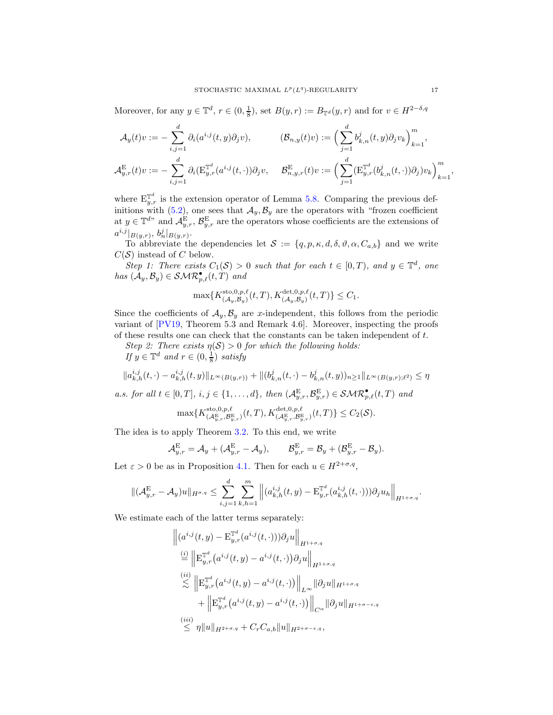Moreover, for any  $y \in \mathbb{T}^d$ ,  $r \in (0, \frac{1}{8})$ , set  $B(y, r) := B_{\mathbb{T}^d}(y, r)$  and for  $v \in H^{2-\delta, q}$ 

$$
\mathcal{A}_y(t)v := -\sum_{i,j=1}^d \partial_i(a^{i,j}(t,y)\partial_j v), \qquad (\mathcal{B}_{n,y}(t)v) := \Big(\sum_{j=1}^d b_{k,n}^j(t,y)\partial_j v_k\Big)_{k=1}^m,
$$
  

$$
\mathcal{A}_{y,r}^{\mathcal{E}}(t)v := -\sum_{i,j=1}^d \partial_i(\mathcal{E}_{y,r}^{\mathbb{T}^d}(a^{i,j}(t,\cdot))\partial_j v, \quad \mathcal{B}_{n,y,r}^{\mathcal{E}}(t)v := \Big(\sum_{j=1}^d (\mathcal{E}_{y,r}^{\mathbb{T}^d}(b_{k,n}^j(t,\cdot))\partial_j) v_k\Big)_{k=1}^m
$$

where  $\mathbb{E}_{y,r}^{\mathbb{T}^d}$  is the extension operator of Lemma [5.8.](#page-15-0) Comparing the previous definitions with  $(5.2)$ , one sees that  $\mathcal{A}_y, \mathcal{B}_y$  are the operators with "frozen coefficient at  $y \in \mathbb{T}^{d}$  and  $\mathcal{A}_{y,r}^{\mathcal{E}}, \mathcal{B}_{y,r}^{\mathcal{E}}$  are the operators whose coefficients are the extensions of  $a^{i,j}|_{B(y,r)}, b_n^j|_{B(y,r)}.$ 

To abbreviate the dependencies let  $S := \{q, p, \kappa, d, \delta, \vartheta, \alpha, C_{a,b}\}\$ and we write  $C(S)$  instead of C below.

*Step 1: There exists*  $C_1(S) > 0$  *such that for each*  $t \in [0, T)$ *, and*  $y \in \mathbb{T}^d$ *, one*  $has$   $(\mathcal{A}_y, \mathcal{B}_y) \in \mathcal{SMR}_{p,\ell}^{\bullet}(t, T)$  and

$$
\max\{K_{\left(\mathcal{A}_y,\mathcal{B}_y\right)}^{\mathrm{sto},0,p,\ell}(t,T),K_{\left(\mathcal{A}_y,\mathcal{B}_y\right)}^{\mathrm{det},0,p,\ell}(t,T)\}\leq C_1.
$$

Since the coefficients of  $A_y, B_y$  are x-independent, this follows from the periodic variant of [\[PV19,](#page-19-5) Theorem 5.3 and Remark 4.6]. Moreover, inspecting the proofs of these results one can check that the constants can be taken independent of t.

*Step 2: There exists*  $\eta(\mathcal{S}) > 0$  *for which the following holds:* 

*If*  $y \in \mathbb{T}^d$  *and*  $r \in (0, \frac{1}{8})$  *satisfy* 

$$
||a_{k,h}^{i,j}(t,\cdot)-a_{k,h}^{i,j}(t,y)||_{L^{\infty}(B(y,r))}+||(b_{k,n}^{j}(t,\cdot)-b_{k,n}^{j}(t,y))_{n\geq 1}||_{L^{\infty}(B(y,r);\ell^{2})}\leq \eta
$$

*a.s. for all*  $t \in [0, T]$ ,  $i, j \in \{1, ..., d\}$ , then  $(A_{y,r}^{\mathbb{E}}, \mathcal{B}_{y,r}^{\mathbb{E}}) \in \mathcal{SMR}_{p,\ell}^{\bullet}(t,T)$  and

$$
\max\{K^{\text{sto},0,p,\ell}_{(\mathcal{A}_{y,r}^{\text{E}},\mathcal{B}_{y,r}^{\text{E}})}(t,T),K^{\det,0,p,\ell}_{(\mathcal{A}_{y,r}^{\text{E}},\mathcal{B}_{y,r}^{\text{E}})}(t,T)\}\leq C_{2}(\mathcal{S}).
$$

The idea is to apply Theorem [3.2.](#page-6-1) To this end, we write

$$
\mathcal{A}_{y,r}^{\mathcal{E}} = \mathcal{A}_y + (\mathcal{A}_{y,r}^{\mathcal{E}} - \mathcal{A}_y), \qquad \mathcal{B}_{y,r}^{\mathcal{E}} = \mathcal{B}_y + (\mathcal{B}_{y,r}^{\mathcal{E}} - \mathcal{B}_y).
$$

Let  $\varepsilon > 0$  be as in Proposition [4.1.](#page-8-5) Then for each  $u \in H^{2+\sigma,q}$ ,

$$
\|(\mathcal{A}_{y,r}^{\mathrm{E}} - \mathcal{A}_{y})u\|_{H^{\sigma,q}} \leq \sum_{i,j=1}^{d} \sum_{k,h=1}^{m} \left\| (a_{k,h}^{i,j}(t,y) - \mathrm{E}_{y,r}^{\mathbb{T}^d} (a_{k,h}^{i,j}(t,\cdot))) \partial_j u_h \right\|_{H^{1+\sigma,q}}.
$$

We estimate each of the latter terms separately:

$$
\| (a^{i,j}(t, y) - \mathbf{E}_{y,r}^{\mathbb{T}^d} (a^{i,j}(t, \cdot))) \partial_j u \|_{H^{1+\sigma,q}} \n\stackrel{(i)}{=} \left\| \mathbf{E}_{y,r}^{\mathbb{T}^d} (a^{i,j}(t, y) - a^{i,j}(t, \cdot)) \partial_j u \right\|_{H^{1+\sigma,q}} \n\stackrel{(ii)}{>} \left\| \mathbf{E}_{y,r}^{\mathbb{T}^d} (a^{i,j}(t, y) - a^{i,j}(t, \cdot)) \right\|_{L^{\infty}} \| \partial_j u \|_{H^{1+\sigma,q}} \n+ \left\| \mathbf{E}_{y,r}^{\mathbb{T}^d} (a^{i,j}(t, y) - a^{i,j}(t, \cdot)) \right\|_{C^{\alpha}} \| \partial_j u \|_{H^{1+\sigma-\varepsilon,q}} \n\stackrel{(iii)}{=} \eta \| u \|_{H^{2+\sigma,q}} + C_r C_{a,b} \| u \|_{H^{2+\sigma-\varepsilon,q}},
$$

,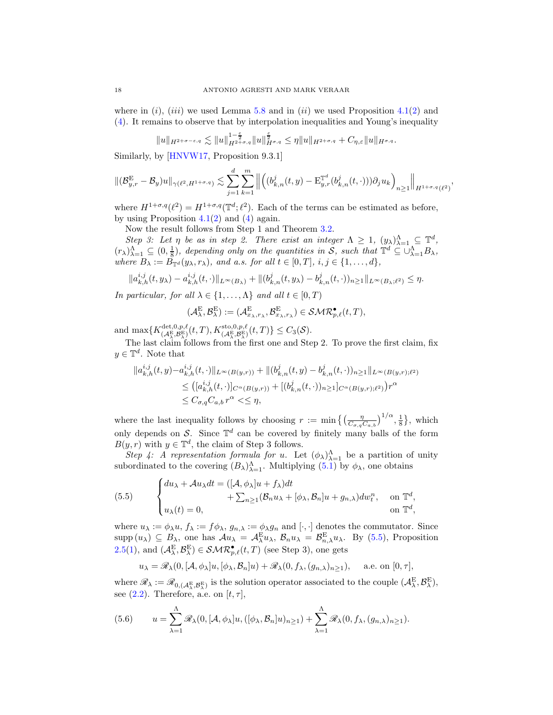where in  $(i)$ ,  $(iii)$  we used Lemma [5.8](#page-15-0) and in  $(ii)$  we used Proposition [4.1\(](#page-8-5)[2\)](#page-8-3) and [\(4\)](#page-8-1). It remains to observe that by interpolation inequalities and Young's inequality

$$
||u||_{H^{2+\sigma-\varepsilon,q}} \lesssim ||u||_{H^{2+\sigma,q}}^{1-\frac{\varepsilon}{2}} ||u||_{H^{\sigma,q}}^{\frac{\varepsilon}{2}} \leq \eta ||u||_{H^{2+\sigma,q}} + C_{\eta,\varepsilon} ||u||_{H^{\sigma,q}}.
$$

Similarly, by [\[HNVW17,](#page-19-17) Proposition 9.3.1]

$$
\|({\cal B}_{y,r}^{\rm E}-{\cal B}_y)u\|_{\gamma(\ell^2,H^{1+\sigma,q})}\lesssim \sum_{j=1}^d\sum_{k=1}^m\left\|\left((b_{k,n}^j(t,y)-{\rm E}_{y,r}^{{\mathbb T}^d}(b_{k,n}^j(t,\cdot)))\partial_j u_k\right)_{n\geq 1}\right\|_{H^{1+\sigma,q}(\ell^2)},
$$

where  $H^{1+\sigma,q}(\ell^2) = H^{1+\sigma,q}(\mathbb{T}^d;\ell^2)$ . Each of the terms can be estimated as before, by using Proposition  $4.1(2)$  $4.1(2)$  and  $(4)$  again.

Now the result follows from Step 1 and Theorem [3.2.](#page-6-1)

*Step 3: Let*  $\eta$  *be as in step 2. There exist an integer*  $\Lambda \geq 1$ ,  $(y_{\lambda})_{\lambda=1}^{\Lambda} \subseteq \mathbb{T}^d$ ,  $(r_{\lambda})_{\lambda=1}^{\Lambda} \subseteq (0, \frac{1}{8})$ , depending only on the quantities in S, such that  $\mathbb{T}^d \subseteq \cup_{\lambda=1}^{\Lambda} B_{\lambda}$ , *where*  $B_{\lambda} := B_{\mathbb{T}^d}(y_{\lambda}, r_{\lambda})$ *, and a.s. for all*  $t \in [0, T]$ *, i, j*  $\in \{1, ..., d\}$ *,* 

$$
||a_{k,h}^{i,j}(t,y_\lambda)-a_{k,h}^{i,j}(t,\cdot)||_{L^\infty(B_\lambda)}+||(b_{k,n}^j(t,y_\lambda)-b_{k,n}^j(t,\cdot))_{n\geq 1}||_{L^\infty(B_\lambda;\ell^2)}\leq \eta.
$$

*In particular, for all*  $\lambda \in \{1, ..., \Lambda\}$  *and all*  $t \in [0, T)$ 

$$
(\mathcal{A}^{\mathrm{E}}_{\lambda},\mathcal{B}^{\mathrm{E}}_{\lambda}):=(\mathcal{A}^{\mathrm{E}}_{x_{\lambda},r_{\lambda}},\mathcal{B}^{\mathrm{E}}_{x_{\lambda},r_{\lambda}})\in\mathcal{SMR}_{p,\ell}^{\bullet}(t,T),
$$

and  $\max \{ K_{(\mathcal{A}^{\mathcal{R}}_{\lambda}, \mathcal{B}^{\mathcal{R}}_{\lambda})}^{\det, 0, p, \ell}(t, T), K_{(\mathcal{A}^{\mathcal{R}}_{\lambda}, \mathcal{B}^{\mathcal{R}}_{\lambda})}^{\det, 0, p, \ell}(t, T) \} \leq C_{3}(\mathcal{S}).$ 

The last claim follows from the first one and Step 2. To prove the first claim, fix  $y \in \mathbb{T}^d$ . Note that

$$
||a_{k,h}^{i,j}(t,y)-a_{k,h}^{i,j}(t,\cdot)||_{L^{\infty}(B(y,r))}+||(b_{k,n}^{j}(t,y)-b_{k,n}^{j}(t,\cdot))_{n\geq 1}||_{L^{\infty}(B(y,r);\ell^{2})}
$$
  
\n
$$
\leq ([a_{k,h}^{i,j}(t,\cdot)]_{C^{\alpha}(B(y,r))}+[(b_{k,n}^{j}(t,\cdot))_{n\geq 1}]_{C^{\alpha}(B(y,r);\ell^{2})})r^{\alpha}
$$
  
\n
$$
\leq C_{\sigma,q}C_{a,b}r^{\alpha} \leq \leq \eta,
$$

where the last inequality follows by choosing  $r := \min\left\{ \left( \frac{\eta}{C_{\sigma,q} C_{a,b}} \right)^{1/\alpha}, \frac{1}{8} \right\}$ , which only depends on S. Since  $\mathbb{T}^d$  can be covered by finitely many balls of the form  $B(y, r)$  with  $y \in \mathbb{T}^d$ , the claim of Step 3 follows.

*Step 4:* A representation formula for u. Let  $(\phi_{\lambda})_{\lambda=1}^{A}$  be a partition of unity subordinated to the covering  $(B_{\lambda})^{\Lambda}_{\lambda=1}$ . Multiplying  $(5.1)$  by  $\phi_{\lambda}$ , one obtains

<span id="page-17-0"></span>(5.5) 
$$
\begin{cases} du_{\lambda} + \mathcal{A}u_{\lambda}dt = ([\mathcal{A}, \phi_{\lambda}]u + f_{\lambda})dt \\ + \sum_{n \geq 1} (\mathcal{B}_n u_{\lambda} + [\phi_{\lambda}, \mathcal{B}_n]u + g_{n,\lambda})dw_t^n, \text{ on } \mathbb{T}^d, \\ u_{\lambda}(t) = 0, \text{ on } \mathbb{T}^d, \end{cases}
$$

where  $u_{\lambda} := \phi_{\lambda} u$ ,  $f_{\lambda} := f \phi_{\lambda}$ ,  $g_{n,\lambda} := \phi_{\lambda} g_n$  and  $[\cdot, \cdot]$  denotes the commutator. Since  $\text{supp}(u_\lambda) \subseteq B_\lambda$ , one has  $\mathcal{A}u_\lambda = \mathcal{A}_\lambda^{\mathcal{E}} u_\lambda$ ,  $\mathcal{B}_n u_\lambda = \mathcal{B}_{n,\lambda}^{\mathcal{E}} u_\lambda$ . By [\(5.5\)](#page-17-0), Proposition [2.5](#page-4-1)[\(1\)](#page-4-4), and  $(\mathcal{A}_{\lambda}^{\mathcal{E}}, \mathcal{B}_{\lambda}^{\mathcal{E}}) \in \mathcal{SMR}_{p,\ell}^{\bullet}(t,T)$  (see Step 3), one gets

$$
u_{\lambda} = \mathscr{R}_{\lambda}(0, [\mathcal{A}, \phi_{\lambda}]u, [\phi_{\lambda}, \mathcal{B}_n]u) + \mathscr{R}_{\lambda}(0, f_{\lambda}, (g_{n,\lambda})_{n \ge 1}), \quad \text{a.e. on } [0, \tau],
$$

where  $\mathscr{R}_{\lambda} := \mathscr{R}_{0, (\mathcal{A}_{\lambda}^{E}, \mathcal{B}_{\lambda}^{E})}$  is the solution operator associated to the couple  $(\mathcal{A}_{\lambda}^{E}, \mathcal{B}_{\lambda}^{E}),$ see [\(2.2\)](#page-3-2). Therefore, a.e. on  $[t, \tau]$ ,

<span id="page-17-1"></span>(5.6) 
$$
u = \sum_{\lambda=1}^{\Lambda} \mathscr{R}_{\lambda}(0, [\mathcal{A}, \phi_{\lambda}]u, ([\phi_{\lambda}, \mathcal{B}_{n}]u)_{n \geq 1}) + \sum_{\lambda=1}^{\Lambda} \mathscr{R}_{\lambda}(0, f_{\lambda}, (g_{n,\lambda})_{n \geq 1}).
$$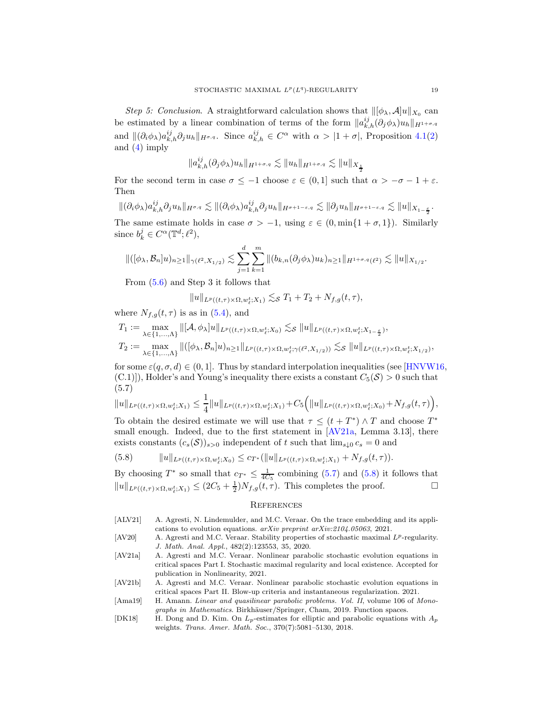*Step 5: Conclusion.* A straightforward calculation shows that  $\| [\phi_{\lambda}, A]u \|_{X_0}$  can be estimated by a linear combination of terms of the form  $||a_{k,h}^{ij}(\partial_j \phi_\lambda)u_h||_{H^{1+\sigma,q}}$ and  $\|(\partial_i \phi_\lambda) a_{k,h}^{ij} \partial_j u_h\|_{H^{\sigma,q}}$ . Since  $a_{k,h}^{ij} \in C^\alpha$  with  $\alpha > |1 + \sigma|$ , Proposition [4.1\(](#page-8-5)[2\)](#page-8-3) and [\(4\)](#page-8-1) imply

$$
\|a_{k,h}^{ij}(\partial_j \phi_\lambda)u_h\|_{H^{1+\sigma,q}}\lesssim \|u_h\|_{H^{1+\sigma,q}}\lesssim \|u\|_{X_\frac{1}{2}}
$$

For the second term in case  $\sigma \leq -1$  choose  $\varepsilon \in (0,1]$  such that  $\alpha > -\sigma - 1 + \varepsilon$ . Then

$$
\|(\partial_i \phi_\lambda) a_{k,h}^{ij} \partial_j u_h\|_{H^{\sigma,q}} \lesssim \|(\partial_i \phi_\lambda) a_{k,h}^{ij} \partial_j u_h\|_{H^{\sigma+1-\varepsilon,q}} \lesssim \|\partial_j u_h\|_{H^{\sigma+1-\varepsilon,q}} \lesssim \|u\|_{X_{1-\frac{\varepsilon}{2}}}.
$$

The same estimate holds in case  $\sigma > -1$ , using  $\varepsilon \in (0, \min\{1 + \sigma, 1\})$ . Similarly since  $b_k^j \in C^{\alpha}(\mathbb{T}^d; \ell^2),$ 

$$
\|([\phi_{\lambda}, \mathcal{B}_n]u)_{n\geq 1}\|_{\gamma(\ell^2, X_{1/2})} \lesssim \sum_{j=1}^d \sum_{k=1}^m \|(b_{k,n}(\partial_j \phi_{\lambda})u_k)_{n\geq 1}\|_{H^{1+\sigma,q}(\ell^2)} \lesssim \|u\|_{X_{1/2}}.
$$

From [\(5.6\)](#page-17-1) and Step 3 it follows that

$$
||u||_{L^p((t,\tau)\times\Omega,w_\ell^t;X_1)} \lesssim_{\mathcal{S}} T_1+T_2+N_{f,g}(t,\tau),
$$

where  $N_{f,q}(t, \tau)$  is as in [\(5.4\)](#page-15-1), and

$$
T_1 := \max_{\lambda \in \{1,\ldots,\Lambda\}} \left\| [\mathcal{A}, \phi_\lambda] u \|_{L^p((t,\tau) \times \Omega, w_\ell^t; X_0)} \lesssim_{\mathcal{S}} \| u \|_{L^p((t,\tau) \times \Omega, w_\ell^t; X_{1-\frac{\varepsilon}{2}})},
$$
  

$$
T_2 := \max_{\lambda \in \{1,\ldots,\Lambda\}} \|([\phi_\lambda, \mathcal{B}_n] u)_{n \ge 1} \|_{L^p((t,\tau) \times \Omega, w_\ell^t; \gamma(\ell^2, X_{1/2}))} \lesssim_{\mathcal{S}} \| u \|_{L^p((t,\tau) \times \Omega, w_\ell^t; X_{1/2})},
$$

for some  $\varepsilon(q, \sigma, d) \in (0, 1]$ . Thus by standard interpolation inequalities (see [\[HNVW16,](#page-19-7)  $(C.1)$ , Holder's and Young's inequality there exists a constant  $C_5(\mathcal{S}) > 0$  such that (5.7)

<span id="page-18-6"></span>
$$
\|u\|_{L^p((t,\tau)\times \Omega, w^t_\ell;X_1)} \leq \frac{1}{4} \|u\|_{L^p((t,\tau)\times \Omega, w^t_\ell;X_1)} + C_5 \Big( \|u\|_{L^p((t,\tau)\times \Omega, w^t_\ell;X_0)} + N_{f,g}(t,\tau) \Big),
$$

To obtain the desired estimate we will use that  $\tau \leq (t + T^*) \wedge T$  and choose  $T^*$ small enough. Indeed, due to the first statement in [\[AV21a,](#page-18-0) Lemma 3.13], there exists constants  $(c_s(\mathcal{S}))_{s>0}$  independent of t such that  $\lim_{s\downarrow 0} c_s = 0$  and

<span id="page-18-7"></span>(5.8) 
$$
||u||_{L^{p}((t,\tau)\times\Omega,w_{\ell}^{t};X_{0})} \leq c_{T^{*}}(||u||_{L^{p}((t,\tau)\times\Omega,w_{\ell}^{t};X_{1})}+N_{f,g}(t,\tau)).
$$

By choosing  $T^*$  so small that  $c_{T^*} \leq \frac{1}{4C_5}$  combining [\(5.7\)](#page-18-6) and [\(5.8\)](#page-18-7) it follows that  $||u||_{L^p((t,\tau)\times\Omega,w_\ell^t;X_1)} \leq (2C_5+\frac{1}{2})N_{f,g}(t,\tau)$ . This completes the proof.

### **REFERENCES**

- <span id="page-18-5"></span>[ALV21] A. Agresti, N. Lindemulder, and M.C. Veraar. On the trace embedding and its applications to evolution equations. arXiv preprint arXiv:2104.05063, 2021.
- <span id="page-18-4"></span>[AV20] A. Agresti and M.C. Veraar. Stability properties of stochastic maximal  $L^p$ -regularity. J. Math. Anal. Appl., 482(2):123553, 35, 2020.
- <span id="page-18-0"></span>[AV21a] A. Agresti and M.C. Veraar. Nonlinear parabolic stochastic evolution equations in critical spaces Part I. Stochastic maximal regularity and local existence. Accepted for publication in Nonlinearity, 2021.
- <span id="page-18-1"></span>[AV21b] A. Agresti and M.C. Veraar. Nonlinear parabolic stochastic evolution equations in critical spaces Part II. Blow-up criteria and instantaneous regularization. 2021.
- <span id="page-18-3"></span>[Ama19] H. Amann. Linear and quasilinear parabolic problems. Vol. II, volume 106 of Monographs in Mathematics. Birkhäuser/Springer, Cham, 2019. Function spaces.
- <span id="page-18-2"></span>[DK18] H. Dong and D. Kim. On  $L_p$ -estimates for elliptic and parabolic equations with  $A_p$ weights. Trans. Amer. Math. Soc., 370(7):5081–5130, 2018.